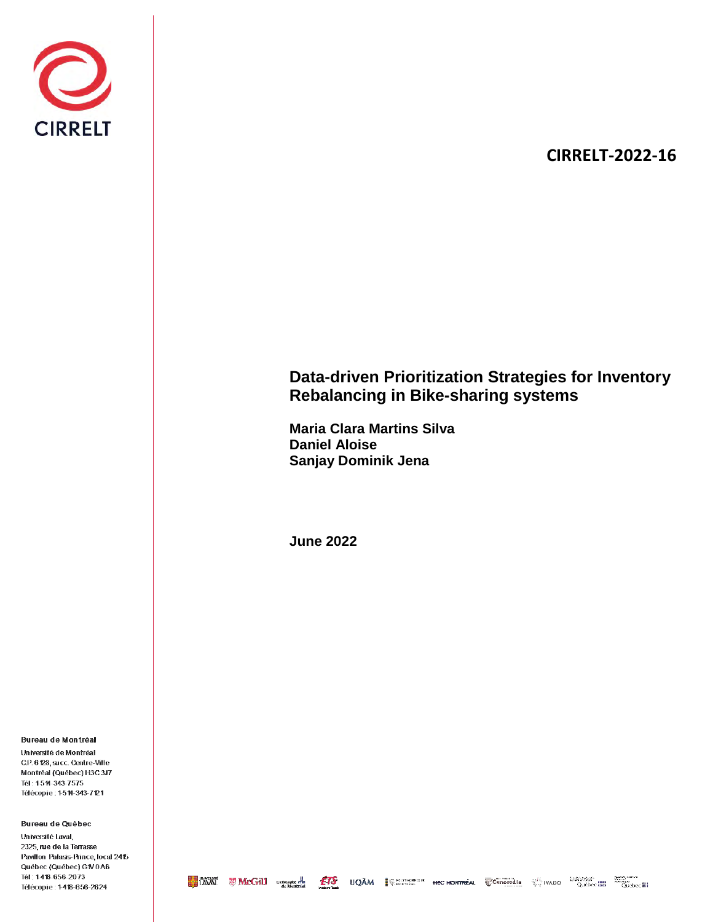

# **CIRRELT-2022-16**

# **Data-driven Prioritization Strategies for Inventory Rebalancing in Bike-sharing systems**

**Maria Clara Martins Silva Daniel Aloise Sanjay Dominik Jena**

**June 2022**

Bureau de Montréal

Université de Montréal C.P. 6 128, succ. Centre-Ville Montréal (Québec) H3C3J7 Tél: 1514-343-7575 Télécopie: 1511-343-7121

Bureau de Québec

Université Laval, 2325, rue de la Terrasse Pavillon Palasis-Prince, local 2415 Québec (Québec) G1V0A6 Tél: 1418-656-2073 Télécopie: 1418-656-2624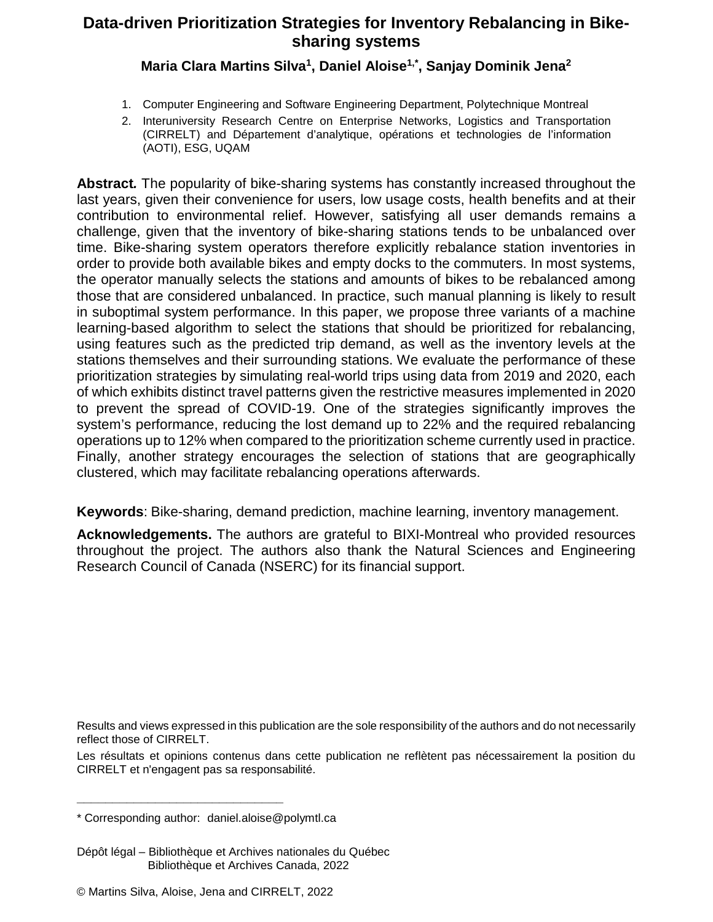## **Data-driven Prioritization Strategies for Inventory Rebalancing in Bikesharing systems**

## **Maria Clara Martins Silva1, Daniel Aloise1,\*, Sanjay Dominik Jena2**

- 1. Computer Engineering and Software Engineering Department, Polytechnique Montreal
- 2. Interuniversity Research Centre on Enterprise Networks, Logistics and Transportation (CIRRELT) and Département d'analytique, opérations et technologies de l'information (AOTI), ESG, UQAM

**Abstract***.* The popularity of bike-sharing systems has constantly increased throughout the last years, given their convenience for users, low usage costs, health benefits and at their contribution to environmental relief. However, satisfying all user demands remains a challenge, given that the inventory of bike-sharing stations tends to be unbalanced over time. Bike-sharing system operators therefore explicitly rebalance station inventories in order to provide both available bikes and empty docks to the commuters. In most systems, the operator manually selects the stations and amounts of bikes to be rebalanced among those that are considered unbalanced. In practice, such manual planning is likely to result in suboptimal system performance. In this paper, we propose three variants of a machine learning-based algorithm to select the stations that should be prioritized for rebalancing, using features such as the predicted trip demand, as well as the inventory levels at the stations themselves and their surrounding stations. We evaluate the performance of these prioritization strategies by simulating real-world trips using data from 2019 and 2020, each of which exhibits distinct travel patterns given the restrictive measures implemented in 2020 to prevent the spread of COVID-19. One of the strategies significantly improves the system's performance, reducing the lost demand up to 22% and the required rebalancing operations up to 12% when compared to the prioritization scheme currently used in practice. Finally, another strategy encourages the selection of stations that are geographically clustered, which may facilitate rebalancing operations afterwards.

**Keywords**: Bike-sharing, demand prediction, machine learning, inventory management.

**Acknowledgements.** The authors are grateful to BIXI-Montreal who provided resources throughout the project. The authors also thank the Natural Sciences and Engineering Research Council of Canada (NSERC) for its financial support.

Results and views expressed in this publication are the sole responsibility of the authors and do not necessarily reflect those of CIRRELT.

Les résultats et opinions contenus dans cette publication ne reflètent pas nécessairement la position du CIRRELT et n'engagent pas sa responsabilité.

**\_\_\_\_\_\_\_\_\_\_\_\_\_\_\_\_\_\_\_\_\_\_\_\_\_\_\_\_\_**

Dépôt légal – Bibliothèque et Archives nationales du Québec Bibliothèque et Archives Canada, 2022

<sup>\*</sup> Corresponding author: daniel.aloise@polymtl.ca

<sup>©</sup> Martins Silva, Aloise, Jena and CIRRELT, 2022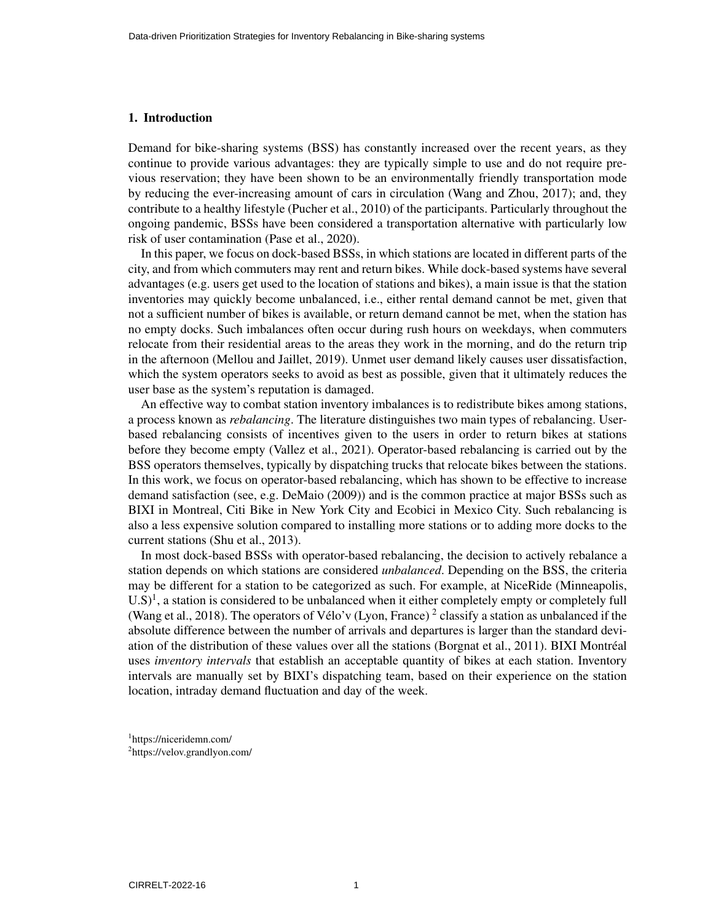## 1. Introduction

Demand for bike-sharing systems (BSS) has constantly increased over the recent years, as they continue to provide various advantages: they are typically simple to use and do not require previous reservation; they have been shown to be an environmentally friendly transportation mode by reducing the ever-increasing amount of cars in circulation (Wang and Zhou, 2017); and, they contribute to a healthy lifestyle (Pucher et al., 2010) of the participants. Particularly throughout the ongoing pandemic, BSSs have been considered a transportation alternative with particularly low risk of user contamination (Pase et al., 2020).

In this paper, we focus on dock-based BSSs, in which stations are located in different parts of the city, and from which commuters may rent and return bikes. While dock-based systems have several advantages (e.g. users get used to the location of stations and bikes), a main issue is that the station inventories may quickly become unbalanced, i.e., either rental demand cannot be met, given that not a sufficient number of bikes is available, or return demand cannot be met, when the station has no empty docks. Such imbalances often occur during rush hours on weekdays, when commuters relocate from their residential areas to the areas they work in the morning, and do the return trip in the afternoon (Mellou and Jaillet, 2019). Unmet user demand likely causes user dissatisfaction, which the system operators seeks to avoid as best as possible, given that it ultimately reduces the user base as the system's reputation is damaged.

An effective way to combat station inventory imbalances is to redistribute bikes among stations, a process known as *rebalancing*. The literature distinguishes two main types of rebalancing. Userbased rebalancing consists of incentives given to the users in order to return bikes at stations before they become empty (Vallez et al., 2021). Operator-based rebalancing is carried out by the BSS operators themselves, typically by dispatching trucks that relocate bikes between the stations. In this work, we focus on operator-based rebalancing, which has shown to be effective to increase demand satisfaction (see, e.g. DeMaio (2009)) and is the common practice at major BSSs such as BIXI in Montreal, Citi Bike in New York City and Ecobici in Mexico City. Such rebalancing is also a less expensive solution compared to installing more stations or to adding more docks to the current stations (Shu et al., 2013).

In most dock-based BSSs with operator-based rebalancing, the decision to actively rebalance a station depends on which stations are considered *unbalanced*. Depending on the BSS, the criteria may be different for a station to be categorized as such. For example, at NiceRide (Minneapolis,  $U.S$ <sup>1</sup>, a station is considered to be unbalanced when it either completely empty or completely full (Wang et al., 2018). The operators of Vélo'v (Lyon, France)<sup>2</sup> classify a station as unbalanced if the absolute difference between the number of arrivals and departures is larger than the standard deviation of the distribution of these values over all the stations (Borgnat et al., 2011). BIXI Montreal ´ uses *inventory intervals* that establish an acceptable quantity of bikes at each station. Inventory intervals are manually set by BIXI's dispatching team, based on their experience on the station location, intraday demand fluctuation and day of the week.

1 https://niceridemn.com/

<sup>2</sup> https://velov.grandlyon.com/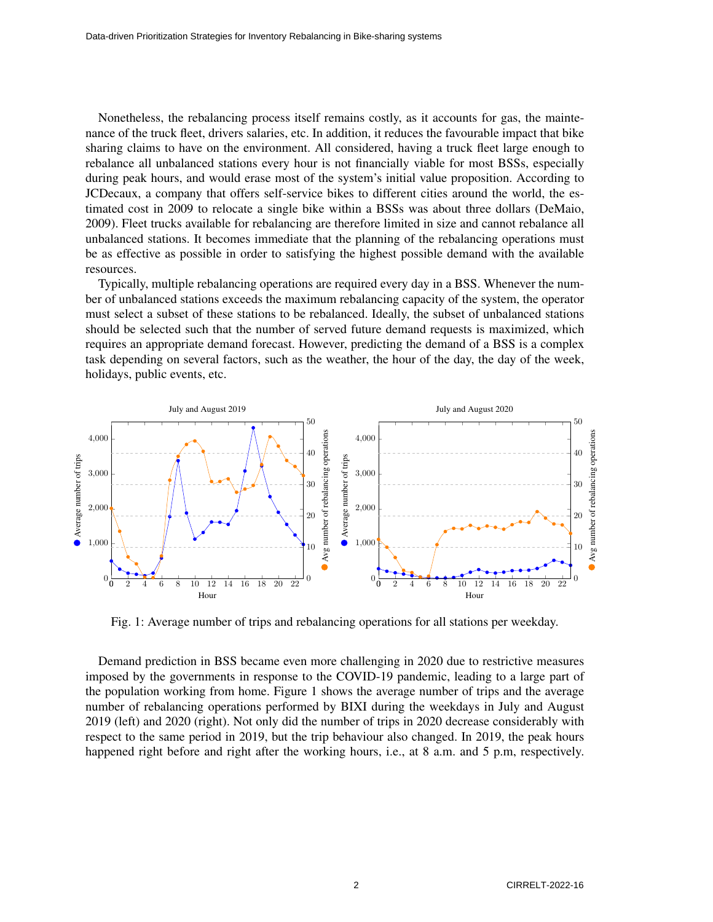Nonetheless, the rebalancing process itself remains costly, as it accounts for gas, the maintenance of the truck fleet, drivers salaries, etc. In addition, it reduces the favourable impact that bike sharing claims to have on the environment. All considered, having a truck fleet large enough to rebalance all unbalanced stations every hour is not financially viable for most BSSs, especially during peak hours, and would erase most of the system's initial value proposition. According to JCDecaux, a company that offers self-service bikes to different cities around the world, the estimated cost in 2009 to relocate a single bike within a BSSs was about three dollars (DeMaio, 2009). Fleet trucks available for rebalancing are therefore limited in size and cannot rebalance all unbalanced stations. It becomes immediate that the planning of the rebalancing operations must be as effective as possible in order to satisfying the highest possible demand with the available resources.

Typically, multiple rebalancing operations are required every day in a BSS. Whenever the number of unbalanced stations exceeds the maximum rebalancing capacity of the system, the operator must select a subset of these stations to be rebalanced. Ideally, the subset of unbalanced stations should be selected such that the number of served future demand requests is maximized, which requires an appropriate demand forecast. However, predicting the demand of a BSS is a complex task depending on several factors, such as the weather, the hour of the day, the day of the week, holidays, public events, etc.



Fig. 1: Average number of trips and rebalancing operations for all stations per weekday.

Demand prediction in BSS became even more challenging in 2020 due to restrictive measures imposed by the governments in response to the COVID-19 pandemic, leading to a large part of the population working from home. Figure 1 shows the average number of trips and the average number of rebalancing operations performed by BIXI during the weekdays in July and August 2019 (left) and 2020 (right). Not only did the number of trips in 2020 decrease considerably with respect to the same period in 2019, but the trip behaviour also changed. In 2019, the peak hours happened right before and right after the working hours, i.e., at 8 a.m. and 5 p.m, respectively.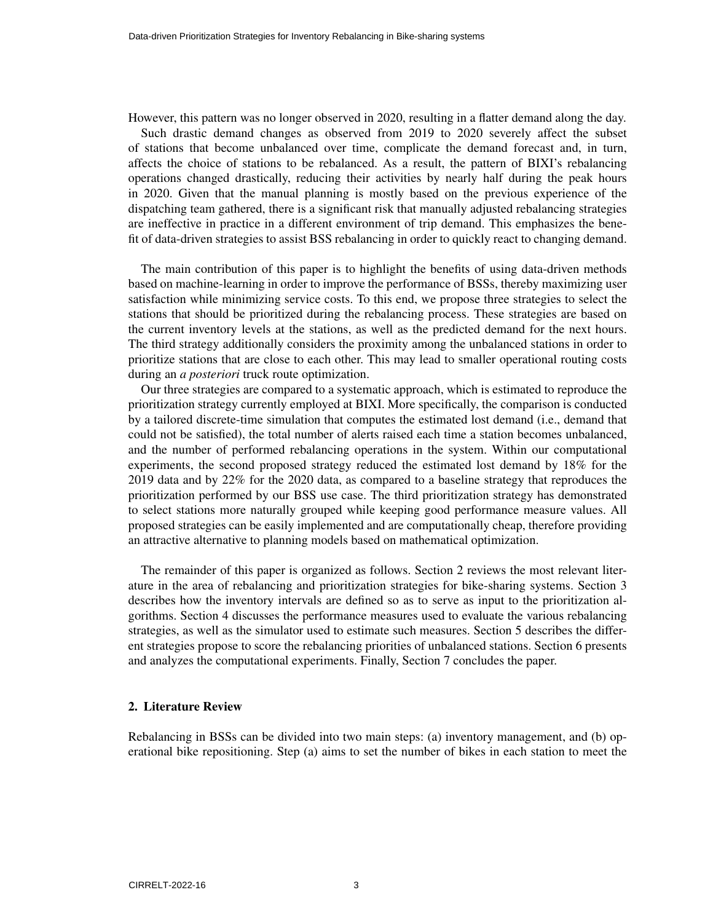However, this pattern was no longer observed in 2020, resulting in a flatter demand along the day. Such drastic demand changes as observed from 2019 to 2020 severely affect the subset of stations that become unbalanced over time, complicate the demand forecast and, in turn, affects the choice of stations to be rebalanced. As a result, the pattern of BIXI's rebalancing operations changed drastically, reducing their activities by nearly half during the peak hours in 2020. Given that the manual planning is mostly based on the previous experience of the dispatching team gathered, there is a significant risk that manually adjusted rebalancing strategies are ineffective in practice in a different environment of trip demand. This emphasizes the benefit of data-driven strategies to assist BSS rebalancing in order to quickly react to changing demand.

The main contribution of this paper is to highlight the benefits of using data-driven methods based on machine-learning in order to improve the performance of BSSs, thereby maximizing user satisfaction while minimizing service costs. To this end, we propose three strategies to select the stations that should be prioritized during the rebalancing process. These strategies are based on the current inventory levels at the stations, as well as the predicted demand for the next hours. The third strategy additionally considers the proximity among the unbalanced stations in order to prioritize stations that are close to each other. This may lead to smaller operational routing costs during an *a posteriori* truck route optimization.

Our three strategies are compared to a systematic approach, which is estimated to reproduce the prioritization strategy currently employed at BIXI. More specifically, the comparison is conducted by a tailored discrete-time simulation that computes the estimated lost demand (i.e., demand that could not be satisfied), the total number of alerts raised each time a station becomes unbalanced, and the number of performed rebalancing operations in the system. Within our computational experiments, the second proposed strategy reduced the estimated lost demand by 18% for the 2019 data and by 22% for the 2020 data, as compared to a baseline strategy that reproduces the prioritization performed by our BSS use case. The third prioritization strategy has demonstrated to select stations more naturally grouped while keeping good performance measure values. All proposed strategies can be easily implemented and are computationally cheap, therefore providing an attractive alternative to planning models based on mathematical optimization.

The remainder of this paper is organized as follows. Section 2 reviews the most relevant literature in the area of rebalancing and prioritization strategies for bike-sharing systems. Section 3 describes how the inventory intervals are defined so as to serve as input to the prioritization algorithms. Section 4 discusses the performance measures used to evaluate the various rebalancing strategies, as well as the simulator used to estimate such measures. Section 5 describes the different strategies propose to score the rebalancing priorities of unbalanced stations. Section 6 presents and analyzes the computational experiments. Finally, Section 7 concludes the paper.

#### 2. Literature Review

Rebalancing in BSSs can be divided into two main steps: (a) inventory management, and (b) operational bike repositioning. Step (a) aims to set the number of bikes in each station to meet the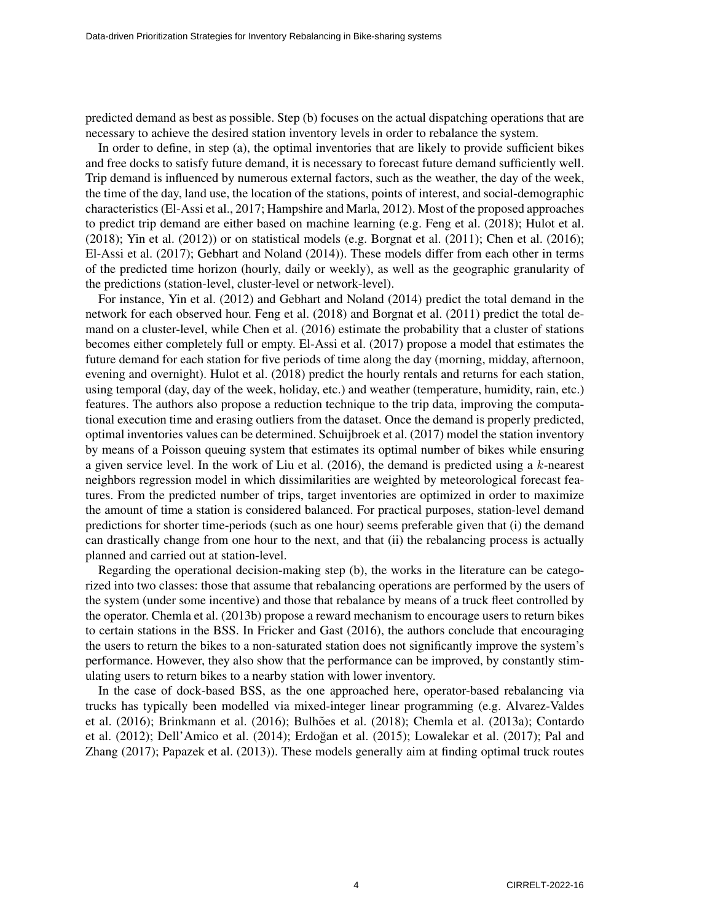predicted demand as best as possible. Step (b) focuses on the actual dispatching operations that are necessary to achieve the desired station inventory levels in order to rebalance the system.

In order to define, in step (a), the optimal inventories that are likely to provide sufficient bikes and free docks to satisfy future demand, it is necessary to forecast future demand sufficiently well. Trip demand is influenced by numerous external factors, such as the weather, the day of the week, the time of the day, land use, the location of the stations, points of interest, and social-demographic characteristics (El-Assi et al., 2017; Hampshire and Marla, 2012). Most of the proposed approaches to predict trip demand are either based on machine learning (e.g. Feng et al. (2018); Hulot et al.  $(2018)$ ; Yin et al.  $(2012)$ ) or on statistical models (e.g. Borgnat et al.  $(2011)$ ; Chen et al.  $(2016)$ ; El-Assi et al. (2017); Gebhart and Noland (2014)). These models differ from each other in terms of the predicted time horizon (hourly, daily or weekly), as well as the geographic granularity of the predictions (station-level, cluster-level or network-level).

For instance, Yin et al. (2012) and Gebhart and Noland (2014) predict the total demand in the network for each observed hour. Feng et al. (2018) and Borgnat et al. (2011) predict the total demand on a cluster-level, while Chen et al. (2016) estimate the probability that a cluster of stations becomes either completely full or empty. El-Assi et al. (2017) propose a model that estimates the future demand for each station for five periods of time along the day (morning, midday, afternoon, evening and overnight). Hulot et al. (2018) predict the hourly rentals and returns for each station, using temporal (day, day of the week, holiday, etc.) and weather (temperature, humidity, rain, etc.) features. The authors also propose a reduction technique to the trip data, improving the computational execution time and erasing outliers from the dataset. Once the demand is properly predicted, optimal inventories values can be determined. Schuijbroek et al. (2017) model the station inventory by means of a Poisson queuing system that estimates its optimal number of bikes while ensuring a given service level. In the work of Liu et al.  $(2016)$ , the demand is predicted using a  $k$ -nearest neighbors regression model in which dissimilarities are weighted by meteorological forecast features. From the predicted number of trips, target inventories are optimized in order to maximize the amount of time a station is considered balanced. For practical purposes, station-level demand predictions for shorter time-periods (such as one hour) seems preferable given that (i) the demand can drastically change from one hour to the next, and that (ii) the rebalancing process is actually planned and carried out at station-level.

Regarding the operational decision-making step (b), the works in the literature can be categorized into two classes: those that assume that rebalancing operations are performed by the users of the system (under some incentive) and those that rebalance by means of a truck fleet controlled by the operator. Chemla et al. (2013b) propose a reward mechanism to encourage users to return bikes to certain stations in the BSS. In Fricker and Gast (2016), the authors conclude that encouraging the users to return the bikes to a non-saturated station does not significantly improve the system's performance. However, they also show that the performance can be improved, by constantly stimulating users to return bikes to a nearby station with lower inventory.

In the case of dock-based BSS, as the one approached here, operator-based rebalancing via trucks has typically been modelled via mixed-integer linear programming (e.g. Alvarez-Valdes et al. (2016); Brinkmann et al. (2016); Bulhões et al. (2018); Chemla et al. (2013a); Contardo et al. (2012); Dell'Amico et al. (2014); Erdoğan et al. (2015); Lowalekar et al. (2017); Pal and Zhang (2017); Papazek et al. (2013)). These models generally aim at finding optimal truck routes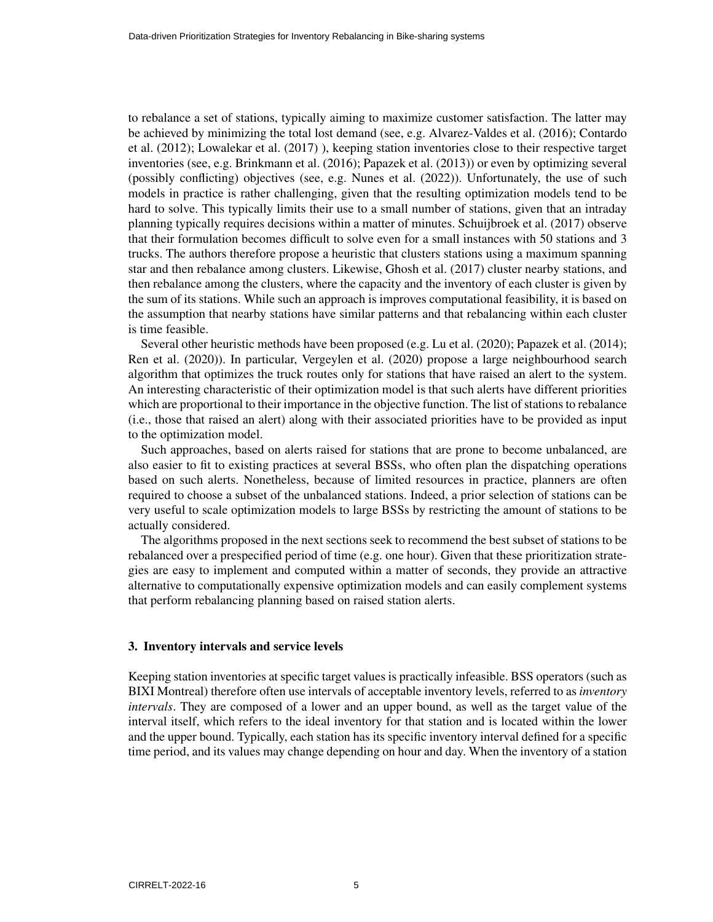to rebalance a set of stations, typically aiming to maximize customer satisfaction. The latter may be achieved by minimizing the total lost demand (see, e.g. Alvarez-Valdes et al. (2016); Contardo et al. (2012); Lowalekar et al. (2017) ), keeping station inventories close to their respective target inventories (see, e.g. Brinkmann et al. (2016); Papazek et al. (2013)) or even by optimizing several (possibly conflicting) objectives (see, e.g. Nunes et al. (2022)). Unfortunately, the use of such models in practice is rather challenging, given that the resulting optimization models tend to be hard to solve. This typically limits their use to a small number of stations, given that an intraday planning typically requires decisions within a matter of minutes. Schuijbroek et al. (2017) observe that their formulation becomes difficult to solve even for a small instances with 50 stations and 3 trucks. The authors therefore propose a heuristic that clusters stations using a maximum spanning star and then rebalance among clusters. Likewise, Ghosh et al. (2017) cluster nearby stations, and then rebalance among the clusters, where the capacity and the inventory of each cluster is given by the sum of its stations. While such an approach is improves computational feasibility, it is based on the assumption that nearby stations have similar patterns and that rebalancing within each cluster is time feasible.

Several other heuristic methods have been proposed (e.g. Lu et al. (2020); Papazek et al. (2014); Ren et al. (2020)). In particular, Vergeylen et al. (2020) propose a large neighbourhood search algorithm that optimizes the truck routes only for stations that have raised an alert to the system. An interesting characteristic of their optimization model is that such alerts have different priorities which are proportional to their importance in the objective function. The list of stations to rebalance (i.e., those that raised an alert) along with their associated priorities have to be provided as input to the optimization model.

Such approaches, based on alerts raised for stations that are prone to become unbalanced, are also easier to fit to existing practices at several BSSs, who often plan the dispatching operations based on such alerts. Nonetheless, because of limited resources in practice, planners are often required to choose a subset of the unbalanced stations. Indeed, a prior selection of stations can be very useful to scale optimization models to large BSSs by restricting the amount of stations to be actually considered.

The algorithms proposed in the next sections seek to recommend the best subset of stations to be rebalanced over a prespecified period of time (e.g. one hour). Given that these prioritization strategies are easy to implement and computed within a matter of seconds, they provide an attractive alternative to computationally expensive optimization models and can easily complement systems that perform rebalancing planning based on raised station alerts.

## 3. Inventory intervals and service levels

Keeping station inventories at specific target values is practically infeasible. BSS operators (such as BIXI Montreal) therefore often use intervals of acceptable inventory levels, referred to as *inventory intervals*. They are composed of a lower and an upper bound, as well as the target value of the interval itself, which refers to the ideal inventory for that station and is located within the lower and the upper bound. Typically, each station has its specific inventory interval defined for a specific time period, and its values may change depending on hour and day. When the inventory of a station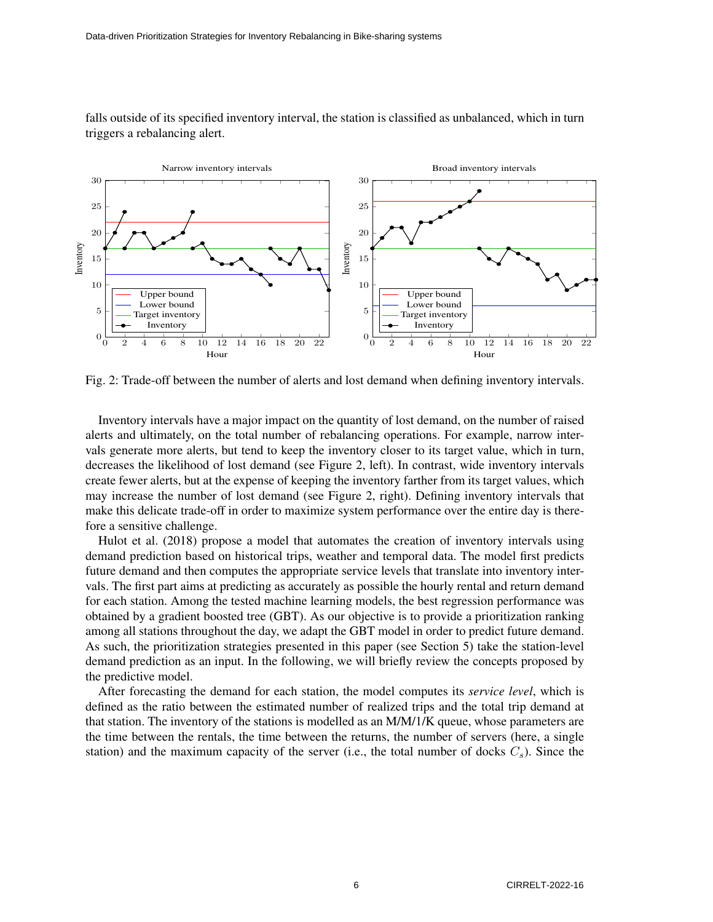

falls outside of its specified inventory interval, the station is classified as unbalanced, which in turn triggers a rebalancing alert.

Fig. 2: Trade-off between the number of alerts and lost demand when defining inventory intervals.

Inventory intervals have a major impact on the quantity of lost demand, on the number of raised alerts and ultimately, on the total number of rebalancing operations. For example, narrow intervals generate more alerts, but tend to keep the inventory closer to its target value, which in turn, decreases the likelihood of lost demand (see Figure 2, left). In contrast, wide inventory intervals create fewer alerts, but at the expense of keeping the inventory farther from its target values, which may increase the number of lost demand (see Figure 2, right). Defining inventory intervals that make this delicate trade-off in order to maximize system performance over the entire day is therefore a sensitive challenge.

Hulot et al. (2018) propose a model that automates the creation of inventory intervals using demand prediction based on historical trips, weather and temporal data. The model first predicts future demand and then computes the appropriate service levels that translate into inventory intervals. The first part aims at predicting as accurately as possible the hourly rental and return demand for each station. Among the tested machine learning models, the best regression performance was obtained by a gradient boosted tree (GBT). As our objective is to provide a prioritization ranking among all stations throughout the day, we adapt the GBT model in order to predict future demand. As such, the prioritization strategies presented in this paper (see Section 5) take the station-level demand prediction as an input. In the following, we will briefly review the concepts proposed by the predictive model.

After forecasting the demand for each station, the model computes its *service level*, which is defined as the ratio between the estimated number of realized trips and the total trip demand at that station. The inventory of the stations is modelled as an M/M/1/K queue, whose parameters are the time between the rentals, the time between the returns, the number of servers (here, a single station) and the maximum capacity of the server (i.e., the total number of docks  $C_s$ ). Since the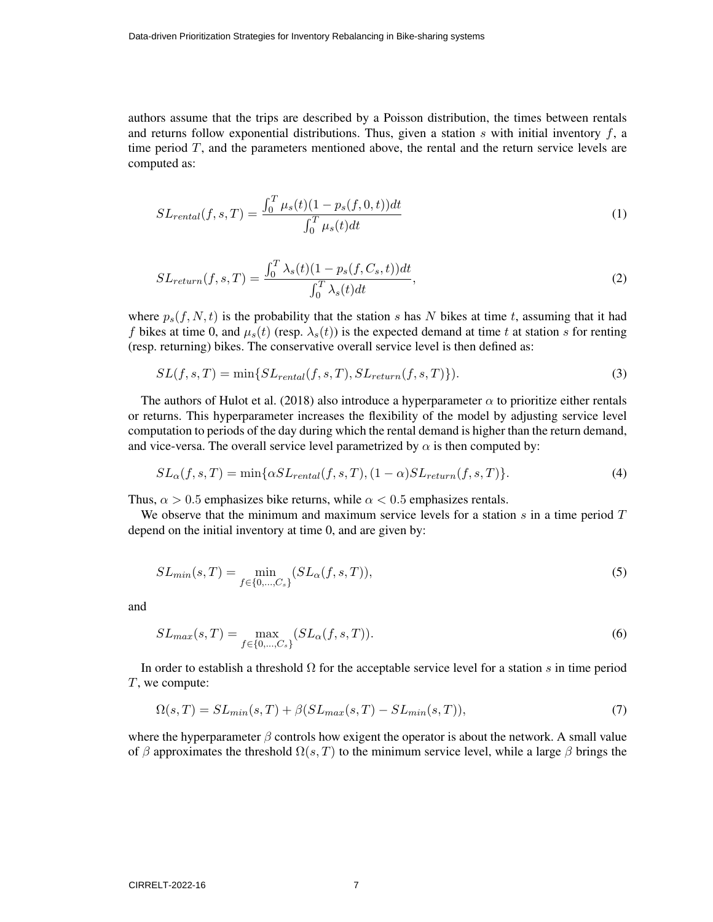authors assume that the trips are described by a Poisson distribution, the times between rentals and returns follow exponential distributions. Thus, given a station  $s$  with initial inventory  $f$ , a time period  $T$ , and the parameters mentioned above, the rental and the return service levels are computed as:

$$
SL_{rental}(f, s, T) = \frac{\int_0^T \mu_s(t)(1 - p_s(f, 0, t))dt}{\int_0^T \mu_s(t)dt}
$$
\n(1)

$$
SL_{return}(f, s, T) = \frac{\int_0^T \lambda_s(t)(1 - p_s(f, C_s, t))dt}{\int_0^T \lambda_s(t)dt},
$$
\n(2)

where  $p_s(f, N, t)$  is the probability that the station s has N bikes at time t, assuming that it had f bikes at time 0, and  $\mu_s(t)$  (resp.  $\lambda_s(t)$ ) is the expected demand at time t at station s for renting (resp. returning) bikes. The conservative overall service level is then defined as:

$$
SL(f, s, T) = \min\{SL_{rental}(f, s, T), SL_{return}(f, s, T)\}.
$$
\n(3)

The authors of Hulot et al. (2018) also introduce a hyperparameter  $\alpha$  to prioritize either rentals or returns. This hyperparameter increases the flexibility of the model by adjusting service level computation to periods of the day during which the rental demand is higher than the return demand, and vice-versa. The overall service level parametrized by  $\alpha$  is then computed by:

$$
SL_{\alpha}(f,s,T) = \min\{\alpha SL_{rental}(f,s,T), (1-\alpha) SL_{return}(f,s,T)\}.
$$
\n(4)

Thus,  $\alpha > 0.5$  emphasizes bike returns, while  $\alpha < 0.5$  emphasizes rentals.

We observe that the minimum and maximum service levels for a station  $s$  in a time period  $T$ depend on the initial inventory at time 0, and are given by:

$$
SL_{min}(s,T) = \min_{f \in \{0,\dots,C_s\}} (SL_{\alpha}(f,s,T)),
$$
\n(5)

and

$$
SL_{max}(s,T) = \max_{f \in \{0,\dots,C_s\}} (SL_{\alpha}(f,s,T)).
$$
\n(6)

In order to establish a threshold  $\Omega$  for the acceptable service level for a station s in time period T, we compute:

$$
\Omega(s,T) = SL_{min}(s,T) + \beta(SL_{max}(s,T) - SL_{min}(s,T)),\tag{7}
$$

where the hyperparameter  $\beta$  controls how exigent the operator is about the network. A small value of β approximates the threshold  $\Omega(s, T)$  to the minimum service level, while a large β brings the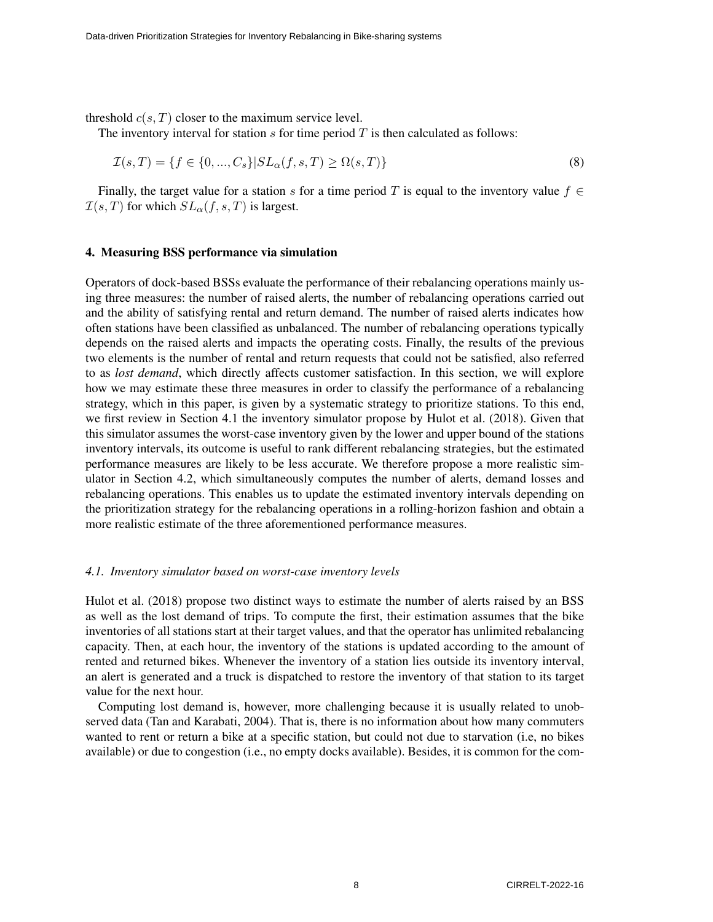threshold  $c(s, T)$  closer to the maximum service level.

The inventory interval for station  $s$  for time period  $T$  is then calculated as follows:

$$
\mathcal{I}(s,T) = \{ f \in \{0, ..., C_s\} | SL_{\alpha}(f,s,T) \ge \Omega(s,T) \}
$$
\n(8)

Finally, the target value for a station s for a time period T is equal to the inventory value  $f \in$  $\mathcal{I}(s,T)$  for which  $SL_{\alpha}(f, s, T)$  is largest.

## 4. Measuring BSS performance via simulation

Operators of dock-based BSSs evaluate the performance of their rebalancing operations mainly using three measures: the number of raised alerts, the number of rebalancing operations carried out and the ability of satisfying rental and return demand. The number of raised alerts indicates how often stations have been classified as unbalanced. The number of rebalancing operations typically depends on the raised alerts and impacts the operating costs. Finally, the results of the previous two elements is the number of rental and return requests that could not be satisfied, also referred to as *lost demand*, which directly affects customer satisfaction. In this section, we will explore how we may estimate these three measures in order to classify the performance of a rebalancing strategy, which in this paper, is given by a systematic strategy to prioritize stations. To this end, we first review in Section 4.1 the inventory simulator propose by Hulot et al. (2018). Given that this simulator assumes the worst-case inventory given by the lower and upper bound of the stations inventory intervals, its outcome is useful to rank different rebalancing strategies, but the estimated performance measures are likely to be less accurate. We therefore propose a more realistic simulator in Section 4.2, which simultaneously computes the number of alerts, demand losses and rebalancing operations. This enables us to update the estimated inventory intervals depending on the prioritization strategy for the rebalancing operations in a rolling-horizon fashion and obtain a more realistic estimate of the three aforementioned performance measures.

#### *4.1. Inventory simulator based on worst-case inventory levels*

Hulot et al. (2018) propose two distinct ways to estimate the number of alerts raised by an BSS as well as the lost demand of trips. To compute the first, their estimation assumes that the bike inventories of all stations start at their target values, and that the operator has unlimited rebalancing capacity. Then, at each hour, the inventory of the stations is updated according to the amount of rented and returned bikes. Whenever the inventory of a station lies outside its inventory interval, an alert is generated and a truck is dispatched to restore the inventory of that station to its target value for the next hour.

Computing lost demand is, however, more challenging because it is usually related to unobserved data (Tan and Karabati, 2004). That is, there is no information about how many commuters wanted to rent or return a bike at a specific station, but could not due to starvation (i.e, no bikes available) or due to congestion (i.e., no empty docks available). Besides, it is common for the com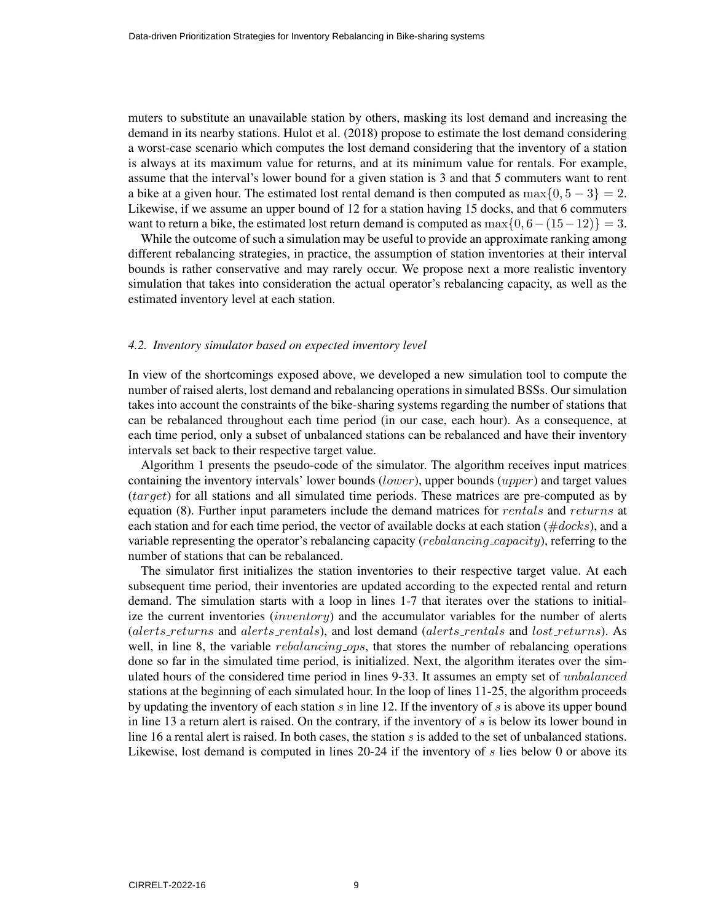muters to substitute an unavailable station by others, masking its lost demand and increasing the demand in its nearby stations. Hulot et al. (2018) propose to estimate the lost demand considering a worst-case scenario which computes the lost demand considering that the inventory of a station is always at its maximum value for returns, and at its minimum value for rentals. For example, assume that the interval's lower bound for a given station is 3 and that 5 commuters want to rent a bike at a given hour. The estimated lost rental demand is then computed as  $\max\{0, 5 - 3\} = 2$ . Likewise, if we assume an upper bound of 12 for a station having 15 docks, and that 6 commuters want to return a bike, the estimated lost return demand is computed as  $\max\{0, 6-(15-12)\} = 3$ .

While the outcome of such a simulation may be useful to provide an approximate ranking among different rebalancing strategies, in practice, the assumption of station inventories at their interval bounds is rather conservative and may rarely occur. We propose next a more realistic inventory simulation that takes into consideration the actual operator's rebalancing capacity, as well as the estimated inventory level at each station.

#### *4.2. Inventory simulator based on expected inventory level*

In view of the shortcomings exposed above, we developed a new simulation tool to compute the number of raised alerts, lost demand and rebalancing operations in simulated BSSs. Our simulation takes into account the constraints of the bike-sharing systems regarding the number of stations that can be rebalanced throughout each time period (in our case, each hour). As a consequence, at each time period, only a subset of unbalanced stations can be rebalanced and have their inventory intervals set back to their respective target value.

Algorithm 1 presents the pseudo-code of the simulator. The algorithm receives input matrices containing the inventory intervals' lower bounds (lower), upper bounds (upper) and target values (target) for all stations and all simulated time periods. These matrices are pre-computed as by equation (8). Further input parameters include the demand matrices for rentals and returns at each station and for each time period, the vector of available docks at each station ( $\#clocks$ ), and a variable representing the operator's rebalancing capacity (*rebalancing capacity*), referring to the number of stations that can be rebalanced.

The simulator first initializes the station inventories to their respective target value. At each subsequent time period, their inventories are updated according to the expected rental and return demand. The simulation starts with a loop in lines 1-7 that iterates over the stations to initialize the current inventories  $(inventory)$  and the accumulator variables for the number of alerts (alerts returns and alerts rentals), and lost demand (alerts rentals and lost returns). As well, in line 8, the variable *rebalancing ops*, that stores the number of rebalancing operations done so far in the simulated time period, is initialized. Next, the algorithm iterates over the simulated hours of the considered time period in lines 9-33. It assumes an empty set of *unbalanced* stations at the beginning of each simulated hour. In the loop of lines 11-25, the algorithm proceeds by updating the inventory of each station  $s$  in line 12. If the inventory of  $s$  is above its upper bound in line 13 a return alert is raised. On the contrary, if the inventory of  $s$  is below its lower bound in line 16 a rental alert is raised. In both cases, the station  $s$  is added to the set of unbalanced stations. Likewise, lost demand is computed in lines 20-24 if the inventory of  $s$  lies below 0 or above its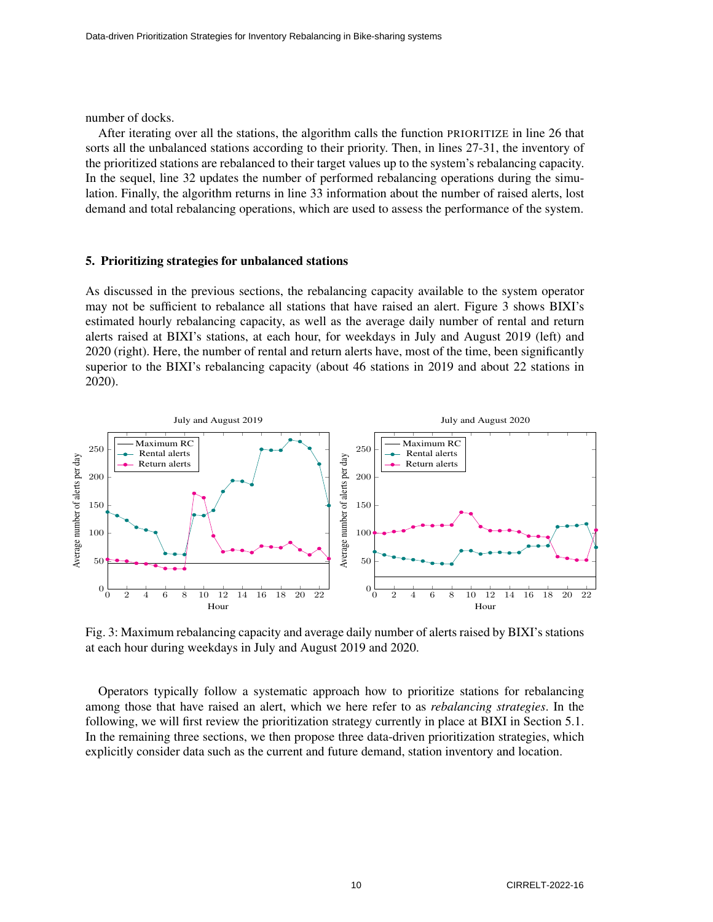number of docks.

After iterating over all the stations, the algorithm calls the function PRIORITIZE in line 26 that sorts all the unbalanced stations according to their priority. Then, in lines 27-31, the inventory of the prioritized stations are rebalanced to their target values up to the system's rebalancing capacity. In the sequel, line 32 updates the number of performed rebalancing operations during the simulation. Finally, the algorithm returns in line 33 information about the number of raised alerts, lost demand and total rebalancing operations, which are used to assess the performance of the system.

## 5. Prioritizing strategies for unbalanced stations

As discussed in the previous sections, the rebalancing capacity available to the system operator may not be sufficient to rebalance all stations that have raised an alert. Figure 3 shows BIXI's estimated hourly rebalancing capacity, as well as the average daily number of rental and return alerts raised at BIXI's stations, at each hour, for weekdays in July and August 2019 (left) and 2020 (right). Here, the number of rental and return alerts have, most of the time, been significantly superior to the BIXI's rebalancing capacity (about 46 stations in 2019 and about 22 stations in 2020).



Fig. 3: Maximum rebalancing capacity and average daily number of alerts raised by BIXI's stations at each hour during weekdays in July and August 2019 and 2020.

Operators typically follow a systematic approach how to prioritize stations for rebalancing among those that have raised an alert, which we here refer to as *rebalancing strategies*. In the following, we will first review the prioritization strategy currently in place at BIXI in Section 5.1. In the remaining three sections, we then propose three data-driven prioritization strategies, which explicitly consider data such as the current and future demand, station inventory and location.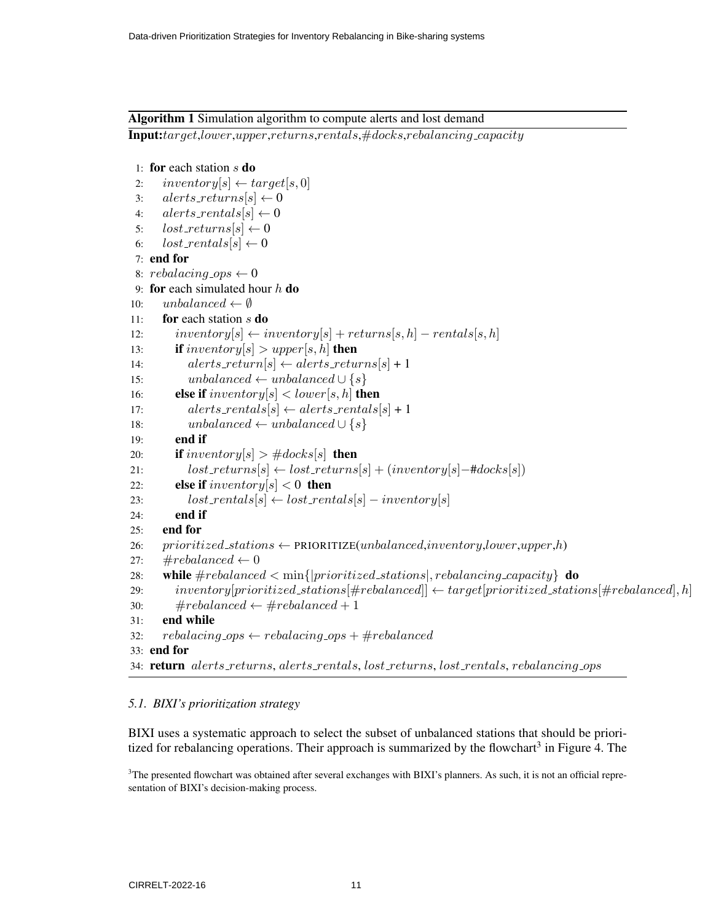## Algorithm 1 Simulation algorithm to compute alerts and lost demand

Input:target,lower,upper,returns,rentals,#docks,rebalancing capacity

```
1: for each station s do
 2: inventory[s] \leftarrow target[s, 0]3: alerts\_returns[s] \leftarrow 04: alerts\_rentals[s] \leftarrow 05: lost\_returns[s] \leftarrow 06: lost\_rentals[s] \leftarrow 07: end for
 8: rebalacing\_ops \leftarrow 09: for each simulated hour h do
10: unbalanced \leftarrow \emptyset11: for each station s do
12: inventory[s] \leftarrow inventory[s] + returns[s, h] - rentals[s, h]13: if inventory[s] > upper[s, h] then
14: alerts\_return[s] \leftarrow alerts\_returns[s] + 115: unbalanced ← unbalanced \cup {s}
16: else if inventory[s] < lower[s, h] then
17: alerts\_rentals[s] \leftarrow alerts\_rentals[s] + 118: unbalanced ← unbalanced \cup {s}
19: end if
20: if inventory[s] > #docks[s] then
21: lost\_returns[s] \leftarrow lost\_returns[s] + (inventory[s] - #docs[s])22: else if inventory |s| < 0 then
23: lost\_rentals[s] \leftarrow lost\_rentals[s] - inventory[s]24: end if
25: end for
26: prioritized_stations \leftarrow PRIORITIZE(unbalanced,inventory,lower,upper,h)
27: \#rebalanced \leftarrow 028: while \#rebalanced < min{|prioritized_stations|, rebalancing-capacity} do
29: inventory[prioritized_stations[#rebalanced]] \leftarrow target[prioritized_stations[#rebalanced], h]
30: \#rebalanced \leftarrow \#rebalanced + 131: end while
32: rebalacing\_ops \leftarrow rebalacing\_ops + \#rebalanced33: end for
34: return alerts_returns, alerts_rentals, lost_returns, lost_rentals, rebalancing_ops
```
## *5.1. BIXI's prioritization strategy*

BIXI uses a systematic approach to select the subset of unbalanced stations that should be prioritized for rebalancing operations. Their approach is summarized by the flowchart<sup>3</sup> in Figure 4. The

<sup>3</sup>The presented flowchart was obtained after several exchanges with BIXI's planners. As such, it is not an official representation of BIXI's decision-making process.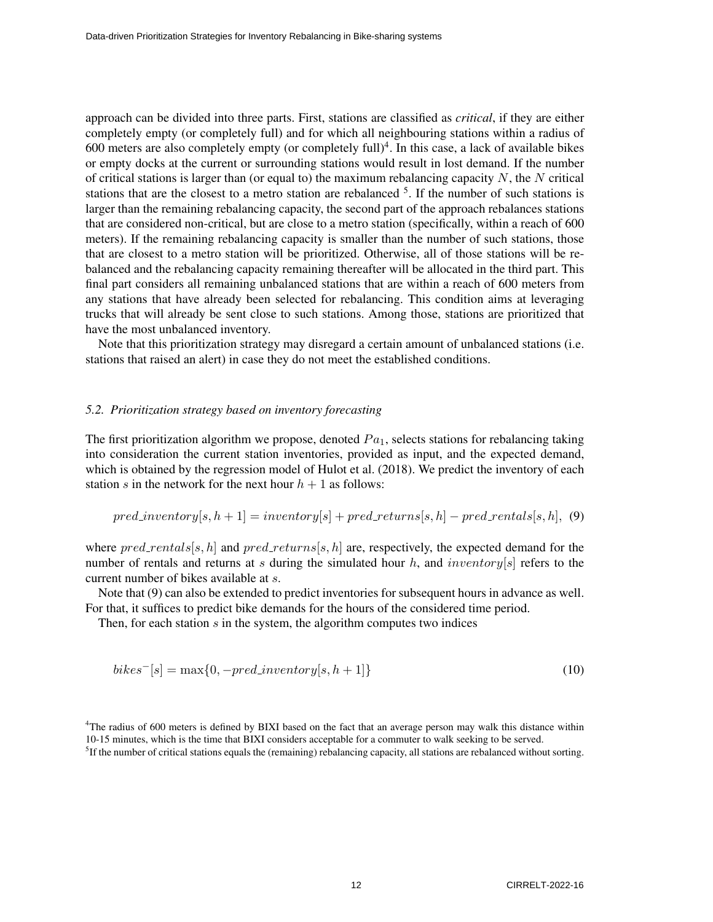approach can be divided into three parts. First, stations are classified as *critical*, if they are either completely empty (or completely full) and for which all neighbouring stations within a radius of 600 meters are also completely empty (or completely full)<sup>4</sup>. In this case, a lack of available bikes or empty docks at the current or surrounding stations would result in lost demand. If the number of critical stations is larger than (or equal to) the maximum rebalancing capacity  $N$ , the  $N$  critical stations that are the closest to a metro station are rebalanced  $5$ . If the number of such stations is larger than the remaining rebalancing capacity, the second part of the approach rebalances stations that are considered non-critical, but are close to a metro station (specifically, within a reach of 600 meters). If the remaining rebalancing capacity is smaller than the number of such stations, those that are closest to a metro station will be prioritized. Otherwise, all of those stations will be rebalanced and the rebalancing capacity remaining thereafter will be allocated in the third part. This final part considers all remaining unbalanced stations that are within a reach of 600 meters from any stations that have already been selected for rebalancing. This condition aims at leveraging trucks that will already be sent close to such stations. Among those, stations are prioritized that have the most unbalanced inventory.

Note that this prioritization strategy may disregard a certain amount of unbalanced stations (i.e. stations that raised an alert) in case they do not meet the established conditions.

## *5.2. Prioritization strategy based on inventory forecasting*

The first prioritization algorithm we propose, denoted  $Pa<sub>1</sub>$ , selects stations for rebalancing taking into consideration the current station inventories, provided as input, and the expected demand, which is obtained by the regression model of Hulot et al. (2018). We predict the inventory of each station s in the network for the next hour  $h + 1$  as follows:

$$
pred\_inventory[s, h + 1] = inventory[s] + pred\_returns[s, h] - pred\_rentals[s, h], (9)
$$

where  $pred\_rentals[s, h]$  and  $pred\_returns[s, h]$  are, respectively, the expected demand for the number of rentals and returns at s during the simulated hour h, and inventory [s] refers to the current number of bikes available at s.

Note that (9) can also be extended to predict inventories for subsequent hours in advance as well. For that, it suffices to predict bike demands for the hours of the considered time period.

Then, for each station  $s$  in the system, the algorithm computes two indices

$$
bikes^{-}[s] = \max\{0, -pred\_inventory[s, h+1]\}\tag{10}
$$

<sup>4</sup>The radius of 600 meters is defined by BIXI based on the fact that an average person may walk this distance within 10-15 minutes, which is the time that BIXI considers acceptable for a commuter to walk seeking to be served.

<sup>5</sup>If the number of critical stations equals the (remaining) rebalancing capacity, all stations are rebalanced without sorting.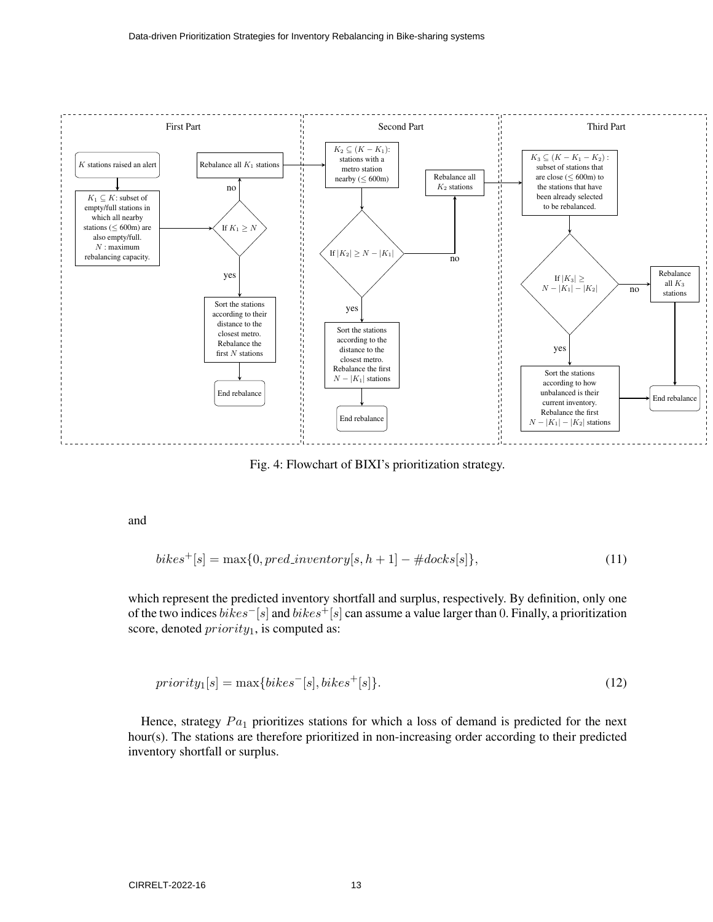

Fig. 4: Flowchart of BIXI's prioritization strategy.

and

$$
bikes+[s] = \max\{0, pred_inventory[s, h+1] - #docs[s]\},
$$
\n(11)

which represent the predicted inventory shortfall and surplus, respectively. By definition, only one of the two indices bikes−[s] and bikes+[s] can assume a value larger than 0. Finally, a prioritization score, denoted  $priority_1$ , is computed as:

$$
priority1[s] = max{bikes-[s], bikes+[s]}.
$$
\n(12)

Hence, strategy  $Pa_1$  prioritizes stations for which a loss of demand is predicted for the next hour(s). The stations are therefore prioritized in non-increasing order according to their predicted inventory shortfall or surplus.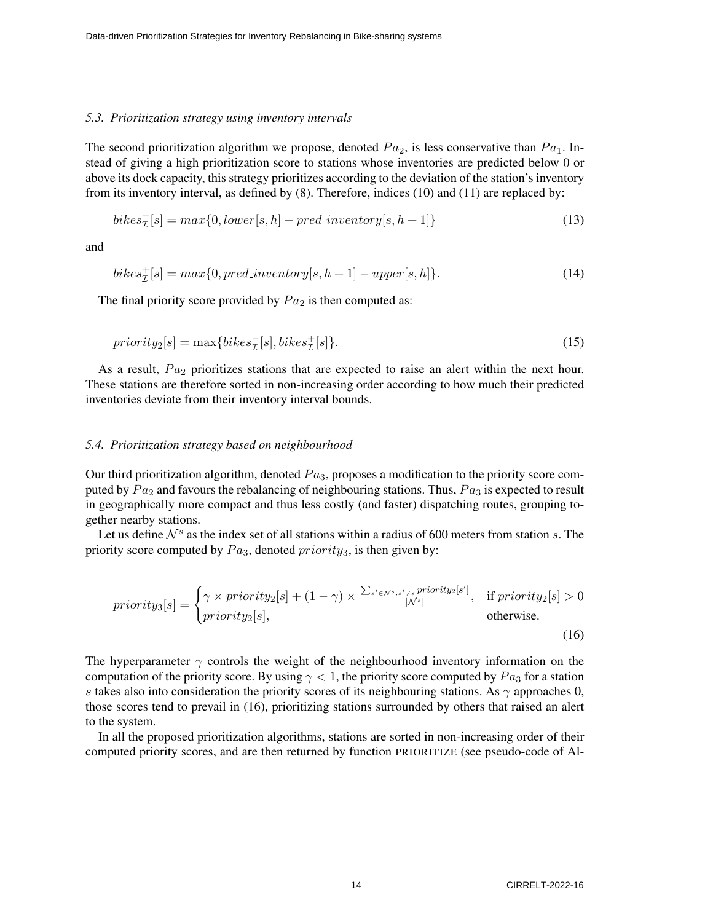#### *5.3. Prioritization strategy using inventory intervals*

The second prioritization algorithm we propose, denoted  $Pa_2$ , is less conservative than  $Pa_1$ . Instead of giving a high prioritization score to stations whose inventories are predicted below 0 or above its dock capacity, this strategy prioritizes according to the deviation of the station's inventory from its inventory interval, as defined by (8). Therefore, indices (10) and (11) are replaced by:

$$
bikes_{\mathcal{I}}^{-}[s] = max\{0, lower[s, h] - pred_inventory[s, h+1]\}
$$
\n(13)

and

$$
bikes_{\mathcal{I}}^{+}[s] = max\{0, pred_inventory[s, h+1] - upper[s, h]\}.
$$
\n(14)

The final priority score provided by  $Pa<sub>2</sub>$  is then computed as:

$$
priority2[s] = max{bikesT-[s], bikesT+[s]}.
$$
\n(15)

As a result,  $Pa<sub>2</sub>$  prioritizes stations that are expected to raise an alert within the next hour. These stations are therefore sorted in non-increasing order according to how much their predicted inventories deviate from their inventory interval bounds.

#### *5.4. Prioritization strategy based on neighbourhood*

Our third prioritization algorithm, denoted  $Pa<sub>3</sub>$ , proposes a modification to the priority score computed by  $Pa_2$  and favours the rebalancing of neighbouring stations. Thus,  $Pa_3$  is expected to result in geographically more compact and thus less costly (and faster) dispatching routes, grouping together nearby stations.

Let us define  $\mathcal{N}^s$  as the index set of all stations within a radius of 600 meters from station s. The priority score computed by  $Pa_3$ , denoted  $priority_3$ , is then given by:

$$
priority_3[s] = \begin{cases} \gamma \times priority_2[s] + (1 - \gamma) \times \frac{\sum_{s' \in N^s, s' \neq s} priority_2[s']}{|N^s|}, & \text{if priority}_2[s] > 0\\ priority_2[s], & \text{otherwise.} \end{cases}
$$
\n(16)

The hyperparameter  $\gamma$  controls the weight of the neighbourhood inventory information on the computation of the priority score. By using  $\gamma < 1$ , the priority score computed by  $Pa<sub>3</sub>$  for a station s takes also into consideration the priority scores of its neighbouring stations. As  $\gamma$  approaches 0, those scores tend to prevail in (16), prioritizing stations surrounded by others that raised an alert to the system.

In all the proposed prioritization algorithms, stations are sorted in non-increasing order of their computed priority scores, and are then returned by function PRIORITIZE (see pseudo-code of Al-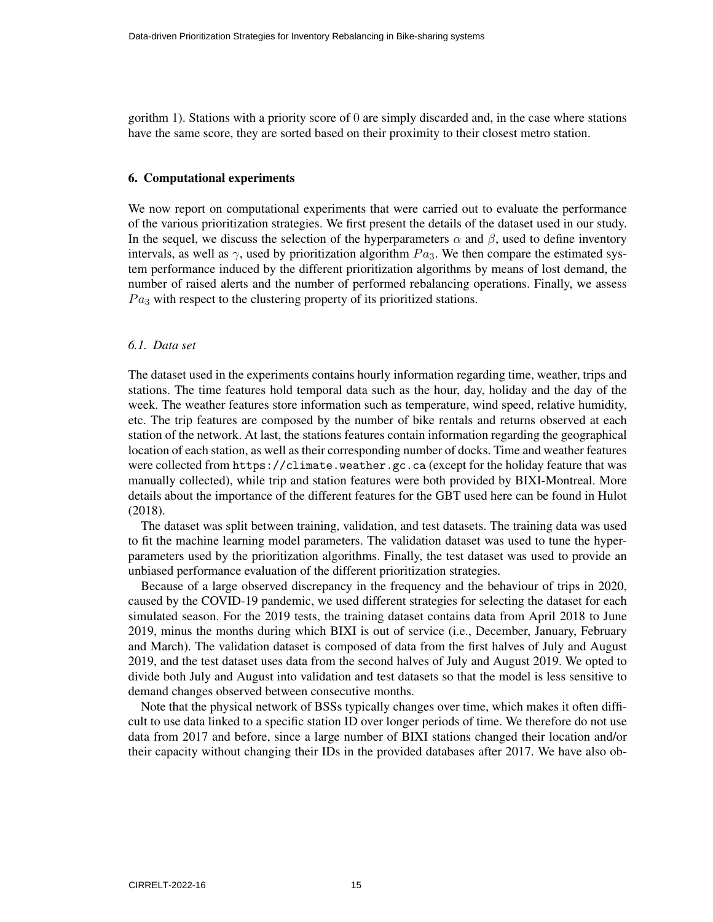gorithm 1). Stations with a priority score of 0 are simply discarded and, in the case where stations have the same score, they are sorted based on their proximity to their closest metro station.

#### 6. Computational experiments

We now report on computational experiments that were carried out to evaluate the performance of the various prioritization strategies. We first present the details of the dataset used in our study. In the sequel, we discuss the selection of the hyperparameters  $\alpha$  and  $\beta$ , used to define inventory intervals, as well as  $\gamma$ , used by prioritization algorithm  $Pa_3$ . We then compare the estimated system performance induced by the different prioritization algorithms by means of lost demand, the number of raised alerts and the number of performed rebalancing operations. Finally, we assess  $Pa<sub>3</sub>$  with respect to the clustering property of its prioritized stations.

## *6.1. Data set*

The dataset used in the experiments contains hourly information regarding time, weather, trips and stations. The time features hold temporal data such as the hour, day, holiday and the day of the week. The weather features store information such as temperature, wind speed, relative humidity, etc. The trip features are composed by the number of bike rentals and returns observed at each station of the network. At last, the stations features contain information regarding the geographical location of each station, as well as their corresponding number of docks. Time and weather features were collected from https://climate.weather.gc.ca (except for the holiday feature that was manually collected), while trip and station features were both provided by BIXI-Montreal. More details about the importance of the different features for the GBT used here can be found in Hulot (2018).

The dataset was split between training, validation, and test datasets. The training data was used to fit the machine learning model parameters. The validation dataset was used to tune the hyperparameters used by the prioritization algorithms. Finally, the test dataset was used to provide an unbiased performance evaluation of the different prioritization strategies.

Because of a large observed discrepancy in the frequency and the behaviour of trips in 2020, caused by the COVID-19 pandemic, we used different strategies for selecting the dataset for each simulated season. For the 2019 tests, the training dataset contains data from April 2018 to June 2019, minus the months during which BIXI is out of service (i.e., December, January, February and March). The validation dataset is composed of data from the first halves of July and August 2019, and the test dataset uses data from the second halves of July and August 2019. We opted to divide both July and August into validation and test datasets so that the model is less sensitive to demand changes observed between consecutive months.

Note that the physical network of BSSs typically changes over time, which makes it often difficult to use data linked to a specific station ID over longer periods of time. We therefore do not use data from 2017 and before, since a large number of BIXI stations changed their location and/or their capacity without changing their IDs in the provided databases after 2017. We have also ob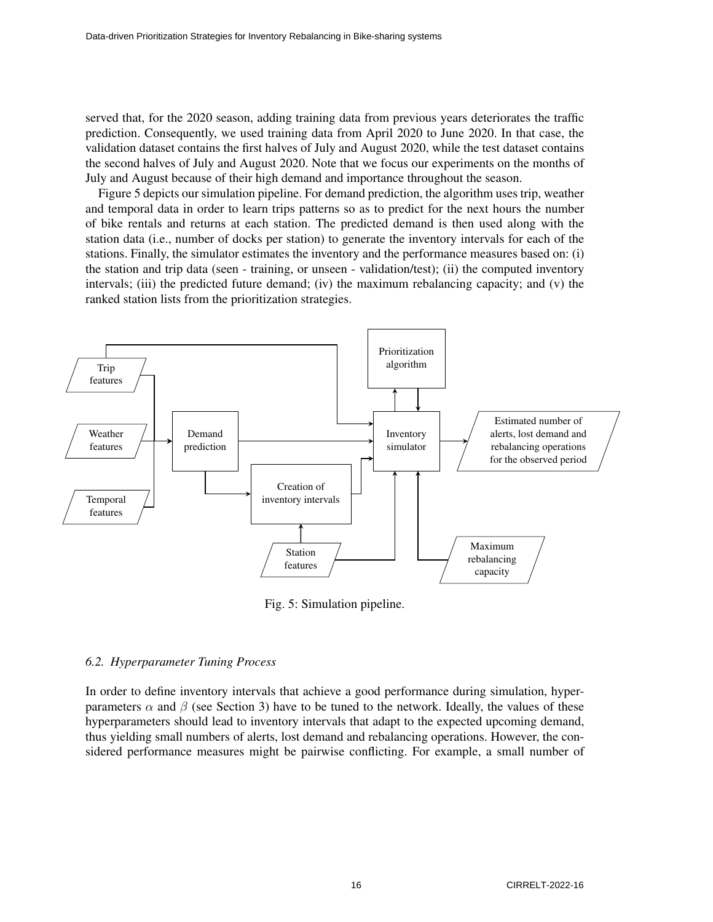served that, for the 2020 season, adding training data from previous years deteriorates the traffic prediction. Consequently, we used training data from April 2020 to June 2020. In that case, the validation dataset contains the first halves of July and August 2020, while the test dataset contains the second halves of July and August 2020. Note that we focus our experiments on the months of July and August because of their high demand and importance throughout the season.

Figure 5 depicts our simulation pipeline. For demand prediction, the algorithm uses trip, weather and temporal data in order to learn trips patterns so as to predict for the next hours the number of bike rentals and returns at each station. The predicted demand is then used along with the station data (i.e., number of docks per station) to generate the inventory intervals for each of the stations. Finally, the simulator estimates the inventory and the performance measures based on: (i) the station and trip data (seen - training, or unseen - validation/test); (ii) the computed inventory intervals; (iii) the predicted future demand; (iv) the maximum rebalancing capacity; and (v) the ranked station lists from the prioritization strategies.



Fig. 5: Simulation pipeline.

#### *6.2. Hyperparameter Tuning Process*

In order to define inventory intervals that achieve a good performance during simulation, hyperparameters  $\alpha$  and  $\beta$  (see Section 3) have to be tuned to the network. Ideally, the values of these hyperparameters should lead to inventory intervals that adapt to the expected upcoming demand, thus yielding small numbers of alerts, lost demand and rebalancing operations. However, the considered performance measures might be pairwise conflicting. For example, a small number of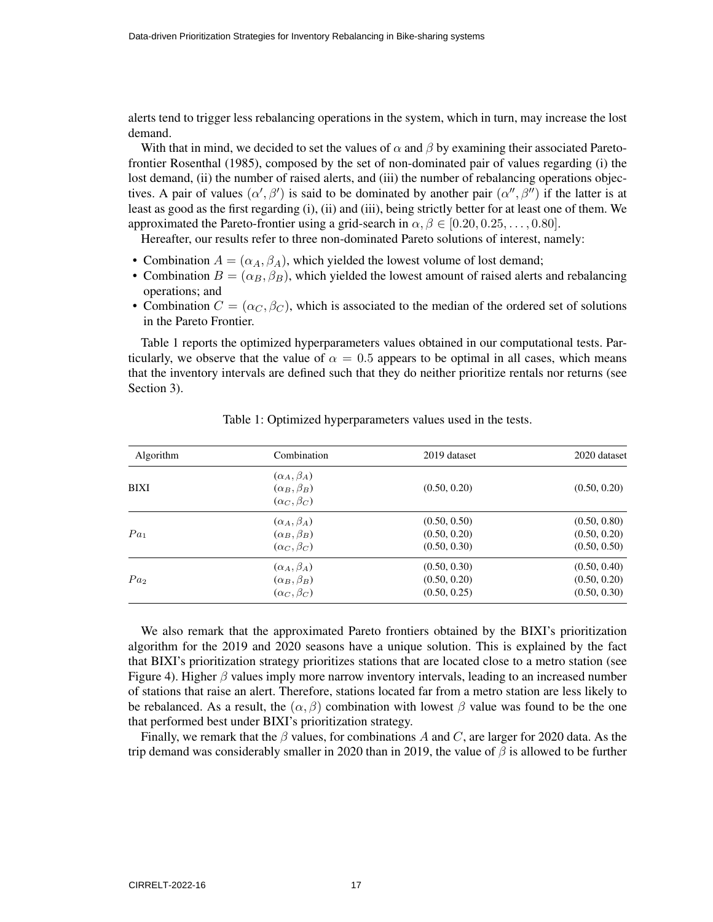alerts tend to trigger less rebalancing operations in the system, which in turn, may increase the lost demand.

With that in mind, we decided to set the values of  $\alpha$  and  $\beta$  by examining their associated Paretofrontier Rosenthal (1985), composed by the set of non-dominated pair of values regarding (i) the lost demand, (ii) the number of raised alerts, and (iii) the number of rebalancing operations objectives. A pair of values  $(\alpha', \beta')$  is said to be dominated by another pair  $(\alpha'', \beta'')$  if the latter is at least as good as the first regarding (i), (ii) and (iii), being strictly better for at least one of them. We approximated the Pareto-frontier using a grid-search in  $\alpha, \beta \in [0.20, 0.25, \ldots, 0.80]$ .

Hereafter, our results refer to three non-dominated Pareto solutions of interest, namely:

- Combination  $A = (\alpha_A, \beta_A)$ , which yielded the lowest volume of lost demand;
- Combination  $B = (\alpha_B, \beta_B)$ , which yielded the lowest amount of raised alerts and rebalancing operations; and
- Combination  $C = (\alpha_C, \beta_C)$ , which is associated to the median of the ordered set of solutions in the Pareto Frontier.

Table 1 reports the optimized hyperparameters values obtained in our computational tests. Particularly, we observe that the value of  $\alpha = 0.5$  appears to be optimal in all cases, which means that the inventory intervals are defined such that they do neither prioritize rentals nor returns (see Section 3).

| <b>Algorithm</b> | Combination                                                             | 2019 dataset | 2020 dataset |  |
|------------------|-------------------------------------------------------------------------|--------------|--------------|--|
| <b>BIXI</b>      | $(\alpha_A, \beta_A)$<br>$(\alpha_B, \beta_B)$<br>$(\alpha_C, \beta_C)$ | (0.50, 0.20) | (0.50, 0.20) |  |
| Pa <sub>1</sub>  | $(\alpha_A, \beta_A)$                                                   | (0.50, 0.50) | (0.50, 0.80) |  |
|                  | $(\alpha_B, \beta_B)$                                                   | (0.50, 0.20) | (0.50, 0.20) |  |
|                  | $(\alpha_C, \beta_C)$                                                   | (0.50, 0.30) | (0.50, 0.50) |  |
| Pa <sub>2</sub>  | $(\alpha_A, \beta_A)$                                                   | (0.50, 0.30) | (0.50, 0.40) |  |
|                  | $(\alpha_B, \beta_B)$                                                   | (0.50, 0.20) | (0.50, 0.20) |  |
|                  | $(\alpha_C, \beta_C)$                                                   | (0.50, 0.25) | (0.50, 0.30) |  |

Table 1: Optimized hyperparameters values used in the tests.

We also remark that the approximated Pareto frontiers obtained by the BIXI's prioritization algorithm for the 2019 and 2020 seasons have a unique solution. This is explained by the fact that BIXI's prioritization strategy prioritizes stations that are located close to a metro station (see Figure 4). Higher  $\beta$  values imply more narrow inventory intervals, leading to an increased number of stations that raise an alert. Therefore, stations located far from a metro station are less likely to be rebalanced. As a result, the  $(\alpha, \beta)$  combination with lowest  $\beta$  value was found to be the one that performed best under BIXI's prioritization strategy.

Finally, we remark that the  $\beta$  values, for combinations A and C, are larger for 2020 data. As the trip demand was considerably smaller in 2020 than in 2019, the value of  $\beta$  is allowed to be further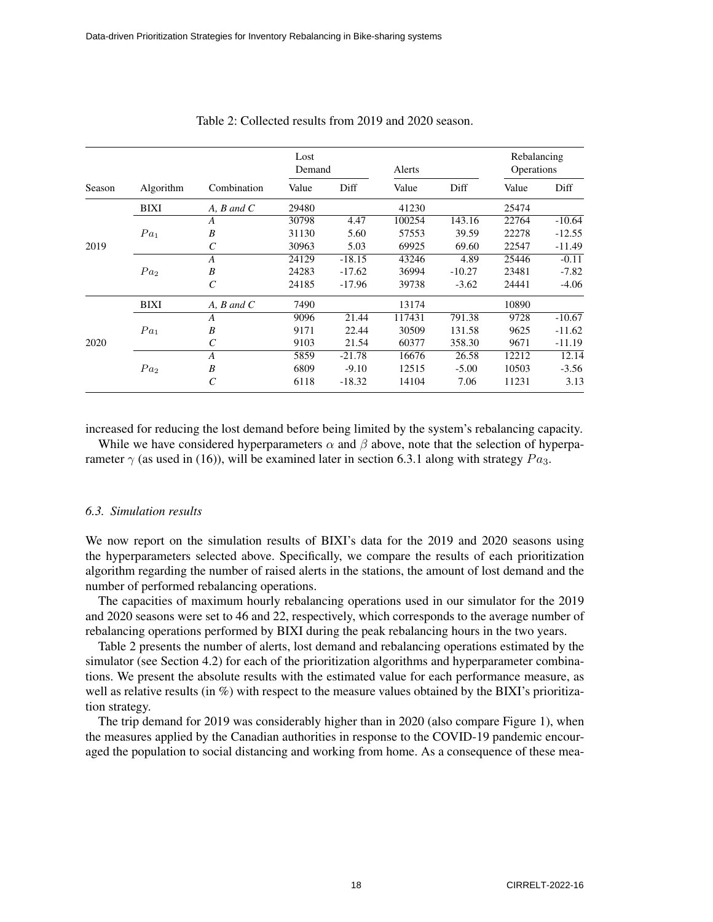| Season |                 |                       | Lost<br>Demand |          | Alerts |          | Rebalancing<br>Operations |          |
|--------|-----------------|-----------------------|----------------|----------|--------|----------|---------------------------|----------|
|        | Algorithm       | Combination           | Value          | Diff     | Value  | Diff     | Value                     | Diff     |
|        | <b>BIXI</b>     | A, B, and C           | 29480          |          | 41230  |          | 25474                     |          |
| 2019   |                 | A                     | 30798          | 4.47     | 100254 | 143.16   | 22764                     | $-10.64$ |
|        | $Pa_1$          | B                     | 31130          | 5.60     | 57553  | 39.59    | 22278                     | $-12.55$ |
|        |                 |                       | 30963          | 5.03     | 69925  | 69.60    | 22547                     | $-11.49$ |
|        |                 | $\overline{A}$        | 24129          | $-18.15$ | 43246  | 4.89     | 25446                     | $-0.11$  |
|        | Pa <sub>2</sub> | B                     | 24283          | $-17.62$ | 36994  | $-10.27$ | 23481                     | $-7.82$  |
|        |                 | $\mathcal{C}_{0}^{0}$ | 24185          | $-17.96$ | 39738  | $-3.62$  | 24441                     | $-4.06$  |
| 2020   | <b>BIXI</b>     | $A, B$ and $C$        | 7490           |          | 13174  |          | 10890                     |          |
|        |                 | $\bm{A}$              | 9096           | 21.44    | 117431 | 791.38   | 9728                      | $-10.67$ |
|        | Pa <sub>1</sub> | B                     | 9171           | 22.44    | 30509  | 131.58   | 9625                      | $-11.62$ |
|        |                 | $\mathcal{C}_{0}^{0}$ | 9103           | 21.54    | 60377  | 358.30   | 9671                      | $-11.19$ |
|        |                 | $\overline{A}$        | 5859           | $-21.78$ | 16676  | 26.58    | 12212                     | 12.14    |
|        | Pa <sub>2</sub> | B                     | 6809           | $-9.10$  | 12515  | $-5.00$  | 10503                     | $-3.56$  |
|        |                 | $\mathcal C$          | 6118           | $-18.32$ | 14104  | 7.06     | 11231                     | 3.13     |

#### Table 2: Collected results from 2019 and 2020 season.

increased for reducing the lost demand before being limited by the system's rebalancing capacity.

While we have considered hyperparameters  $\alpha$  and  $\beta$  above, note that the selection of hyperparameter  $\gamma$  (as used in (16)), will be examined later in section 6.3.1 along with strategy  $Pa_3$ .

#### *6.3. Simulation results*

We now report on the simulation results of BIXI's data for the 2019 and 2020 seasons using the hyperparameters selected above. Specifically, we compare the results of each prioritization algorithm regarding the number of raised alerts in the stations, the amount of lost demand and the number of performed rebalancing operations.

The capacities of maximum hourly rebalancing operations used in our simulator for the 2019 and 2020 seasons were set to 46 and 22, respectively, which corresponds to the average number of rebalancing operations performed by BIXI during the peak rebalancing hours in the two years.

Table 2 presents the number of alerts, lost demand and rebalancing operations estimated by the simulator (see Section 4.2) for each of the prioritization algorithms and hyperparameter combinations. We present the absolute results with the estimated value for each performance measure, as well as relative results (in %) with respect to the measure values obtained by the BIXI's prioritization strategy.

The trip demand for 2019 was considerably higher than in 2020 (also compare Figure 1), when the measures applied by the Canadian authorities in response to the COVID-19 pandemic encouraged the population to social distancing and working from home. As a consequence of these mea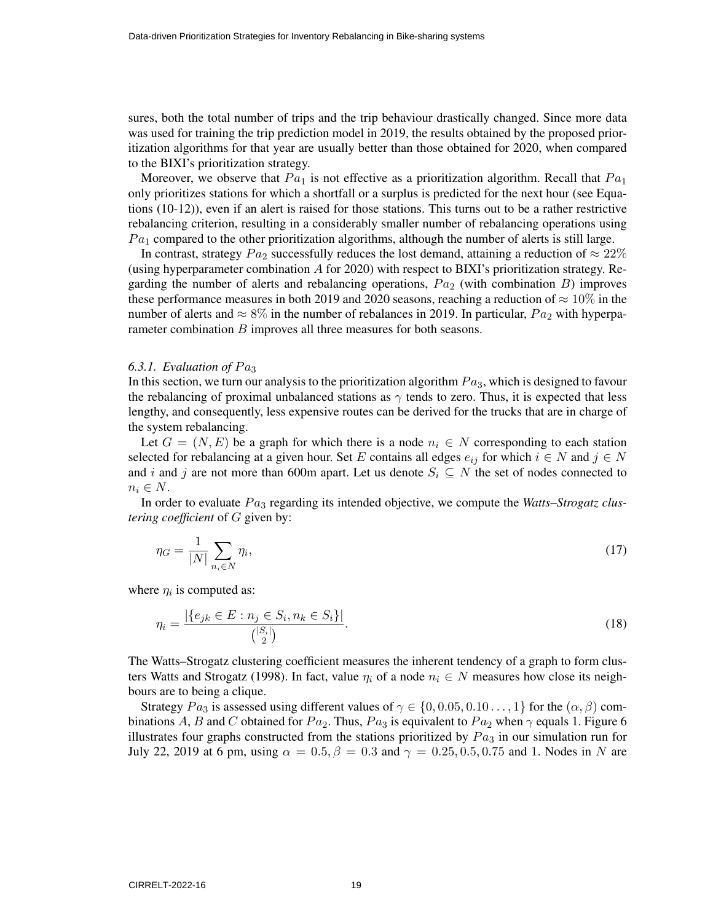sures, both the total number of trips and the trip behaviour drastically changed. Since more data was used for training the trip prediction model in 2019, the results obtained by the proposed prioritization algorithms for that year are usually better than those obtained for 2020, when compared to the BIXI's prioritization strategy.

Moreover, we observe that  $Pa_1$  is not effective as a prioritization algorithm. Recall that  $Pa_1$ only prioritizes stations for which a shortfall or a surplus is predicted for the next hour (see Equations (10-12)), even if an alert is raised for those stations. This turns out to be a rather restrictive rebalancing criterion, resulting in a considerably smaller number of rebalancing operations using  $Pa<sub>1</sub>$  compared to the other prioritization algorithms, although the number of alerts is still large.

In contrast, strategy  $Pa_2$  successfully reduces the lost demand, attaining a reduction of  $\approx 22\%$ (using hyperparameter combination A for 2020) with respect to BIXI's prioritization strategy. Regarding the number of alerts and rebalancing operations,  $Pa<sub>2</sub>$  (with combination B) improves these performance measures in both 2019 and 2020 seasons, reaching a reduction of  $\approx 10\%$  in the number of alerts and  $\approx 8\%$  in the number of rebalances in 2019. In particular,  $Pa_2$  with hyperparameter combination  $B$  improves all three measures for both seasons.

#### 6.3.1. Evaluation of  $Pa<sub>3</sub>$

In this section, we turn our analysis to the prioritization algorithm  $Pa<sub>3</sub>$ , which is designed to favour the rebalancing of proximal unbalanced stations as  $\gamma$  tends to zero. Thus, it is expected that less lengthy, and consequently, less expensive routes can be derived for the trucks that are in charge of the system rebalancing.

Let  $G = (N, E)$  be a graph for which there is a node  $n_i \in N$  corresponding to each station selected for rebalancing at a given hour. Set E contains all edges  $e_{ij}$  for which  $i \in N$  and  $j \in N$ and i and j are not more than 600m apart. Let us denote  $S_i \subseteq N$  the set of nodes connected to  $n_i \in N$ .

In order to evaluate  $Pa<sub>3</sub>$  regarding its intended objective, we compute the *Watts–Strogatz clustering coefficient* of G given by:

$$
\eta_G = \frac{1}{|N|} \sum_{n_i \in N} \eta_i,\tag{17}
$$

where  $\eta_i$  is computed as:

$$
\eta_i = \frac{|\{e_{jk} \in E : n_j \in S_i, n_k \in S_i\}|}{\binom{|S_i|}{2}}.
$$
\n(18)

The Watts–Strogatz clustering coefficient measures the inherent tendency of a graph to form clusters Watts and Strogatz (1998). In fact, value  $\eta_i$  of a node  $n_i \in N$  measures how close its neighbours are to being a clique.

Strategy  $Pa_3$  is assessed using different values of  $\gamma \in \{0, 0.05, 0.10\dots, 1\}$  for the  $(\alpha, \beta)$  combinations A, B and C obtained for  $Pa_2$ . Thus,  $Pa_3$  is equivalent to  $Pa_2$  when  $\gamma$  equals 1. Figure 6 illustrates four graphs constructed from the stations prioritized by  $Pa<sub>3</sub>$  in our simulation run for July 22, 2019 at 6 pm, using  $\alpha = 0.5$ ,  $\beta = 0.3$  and  $\gamma = 0.25$ , 0.5, 0.75 and 1. Nodes in N are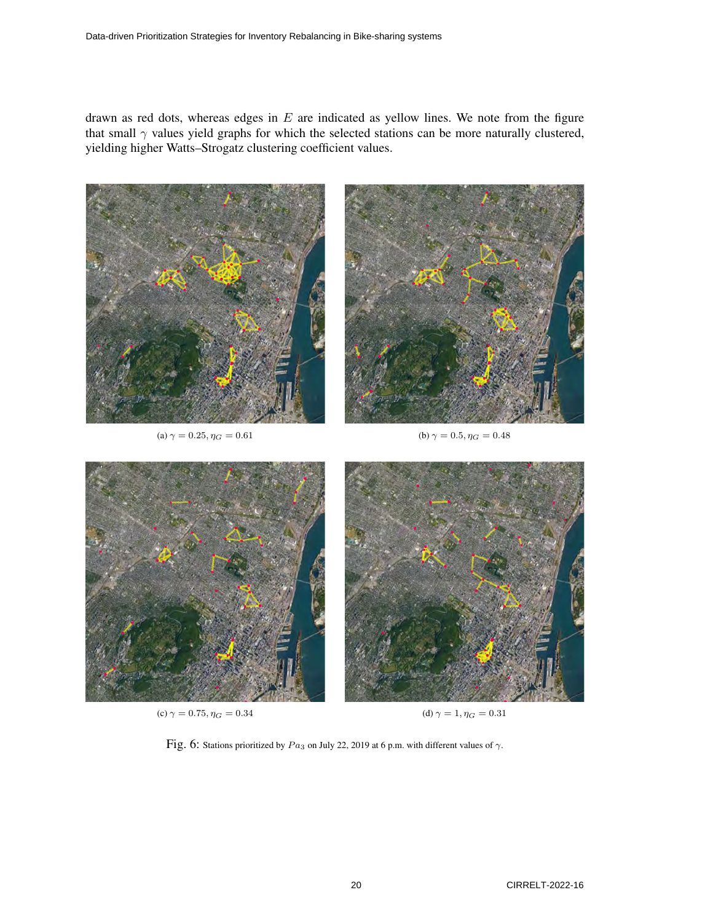drawn as red dots, whereas edges in  $E$  are indicated as yellow lines. We note from the figure that small  $\gamma$  values yield graphs for which the selected stations can be more naturally clustered, yielding higher Watts–Strogatz clustering coefficient values.



Fig. 6: Stations prioritized by  $Pa_3$  on July 22, 2019 at 6 p.m. with different values of  $\gamma$ .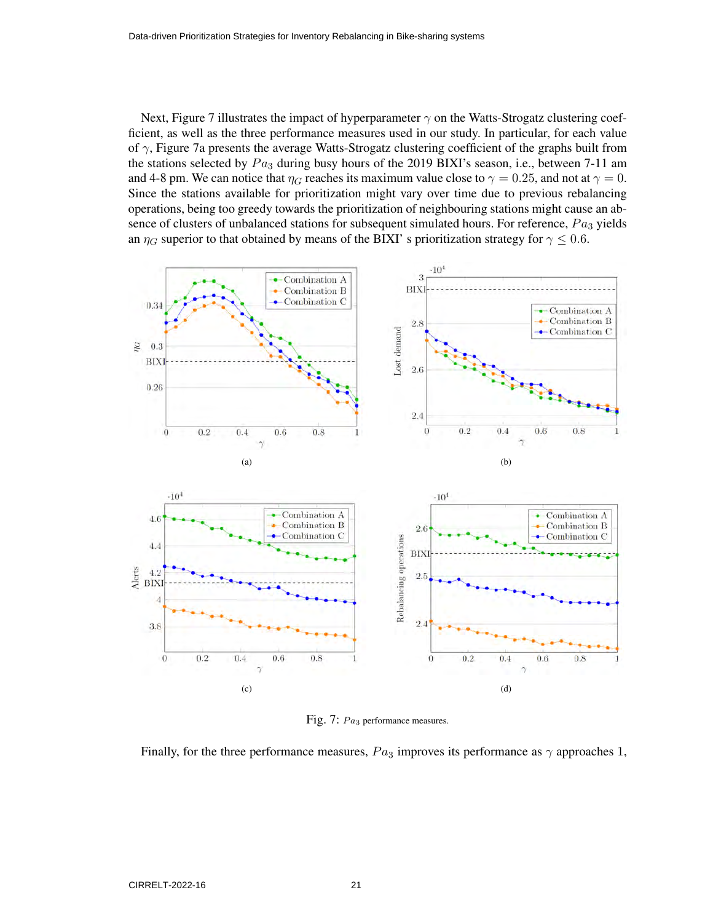Next, Figure 7 illustrates the impact of hyperparameter  $\gamma$  on the Watts-Strogatz clustering coefficient, as well as the three performance measures used in our study. In particular, for each value of  $\gamma$ , Figure 7a presents the average Watts-Strogatz clustering coefficient of the graphs built from the stations selected by  $Pa<sub>3</sub>$  during busy hours of the 2019 BIXI's season, i.e., between 7-11 am and 4-8 pm. We can notice that  $\eta_G$  reaches its maximum value close to  $\gamma = 0.25$ , and not at  $\gamma = 0$ . Since the stations available for prioritization might vary over time due to previous rebalancing operations, being too greedy towards the prioritization of neighbouring stations might cause an absence of clusters of unbalanced stations for subsequent simulated hours. For reference,  $Pa<sub>3</sub>$  yields an  $\eta_G$  superior to that obtained by means of the BIXI' s prioritization strategy for  $\gamma \leq 0.6$ .



Fig. 7:  $Pa<sub>3</sub>$  performance measures.

Finally, for the three performance measures,  $Pa_3$  improves its performance as  $\gamma$  approaches 1,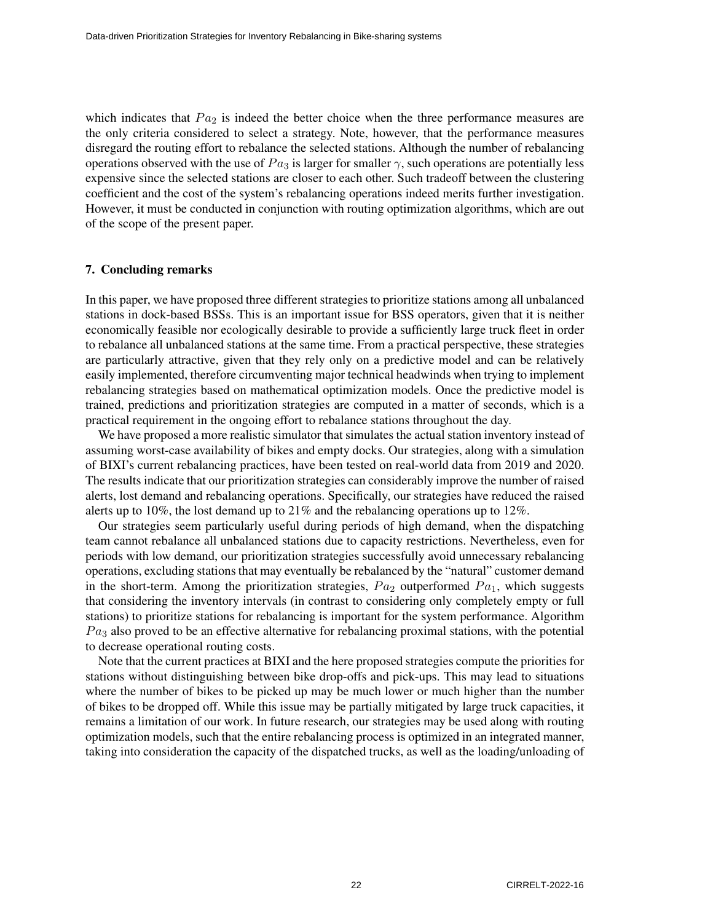which indicates that  $Pa<sub>2</sub>$  is indeed the better choice when the three performance measures are the only criteria considered to select a strategy. Note, however, that the performance measures disregard the routing effort to rebalance the selected stations. Although the number of rebalancing operations observed with the use of  $Pa<sub>3</sub>$  is larger for smaller  $\gamma$ , such operations are potentially less expensive since the selected stations are closer to each other. Such tradeoff between the clustering coefficient and the cost of the system's rebalancing operations indeed merits further investigation. However, it must be conducted in conjunction with routing optimization algorithms, which are out of the scope of the present paper.

## 7. Concluding remarks

In this paper, we have proposed three different strategies to prioritize stations among all unbalanced stations in dock-based BSSs. This is an important issue for BSS operators, given that it is neither economically feasible nor ecologically desirable to provide a sufficiently large truck fleet in order to rebalance all unbalanced stations at the same time. From a practical perspective, these strategies are particularly attractive, given that they rely only on a predictive model and can be relatively easily implemented, therefore circumventing major technical headwinds when trying to implement rebalancing strategies based on mathematical optimization models. Once the predictive model is trained, predictions and prioritization strategies are computed in a matter of seconds, which is a practical requirement in the ongoing effort to rebalance stations throughout the day.

We have proposed a more realistic simulator that simulates the actual station inventory instead of assuming worst-case availability of bikes and empty docks. Our strategies, along with a simulation of BIXI's current rebalancing practices, have been tested on real-world data from 2019 and 2020. The results indicate that our prioritization strategies can considerably improve the number of raised alerts, lost demand and rebalancing operations. Specifically, our strategies have reduced the raised alerts up to 10%, the lost demand up to 21% and the rebalancing operations up to 12%.

Our strategies seem particularly useful during periods of high demand, when the dispatching team cannot rebalance all unbalanced stations due to capacity restrictions. Nevertheless, even for periods with low demand, our prioritization strategies successfully avoid unnecessary rebalancing operations, excluding stations that may eventually be rebalanced by the "natural" customer demand in the short-term. Among the prioritization strategies,  $Pa<sub>2</sub>$  outperformed  $Pa<sub>1</sub>$ , which suggests that considering the inventory intervals (in contrast to considering only completely empty or full stations) to prioritize stations for rebalancing is important for the system performance. Algorithm  $Pa<sub>3</sub>$  also proved to be an effective alternative for rebalancing proximal stations, with the potential to decrease operational routing costs.

Note that the current practices at BIXI and the here proposed strategies compute the priorities for stations without distinguishing between bike drop-offs and pick-ups. This may lead to situations where the number of bikes to be picked up may be much lower or much higher than the number of bikes to be dropped off. While this issue may be partially mitigated by large truck capacities, it remains a limitation of our work. In future research, our strategies may be used along with routing optimization models, such that the entire rebalancing process is optimized in an integrated manner, taking into consideration the capacity of the dispatched trucks, as well as the loading/unloading of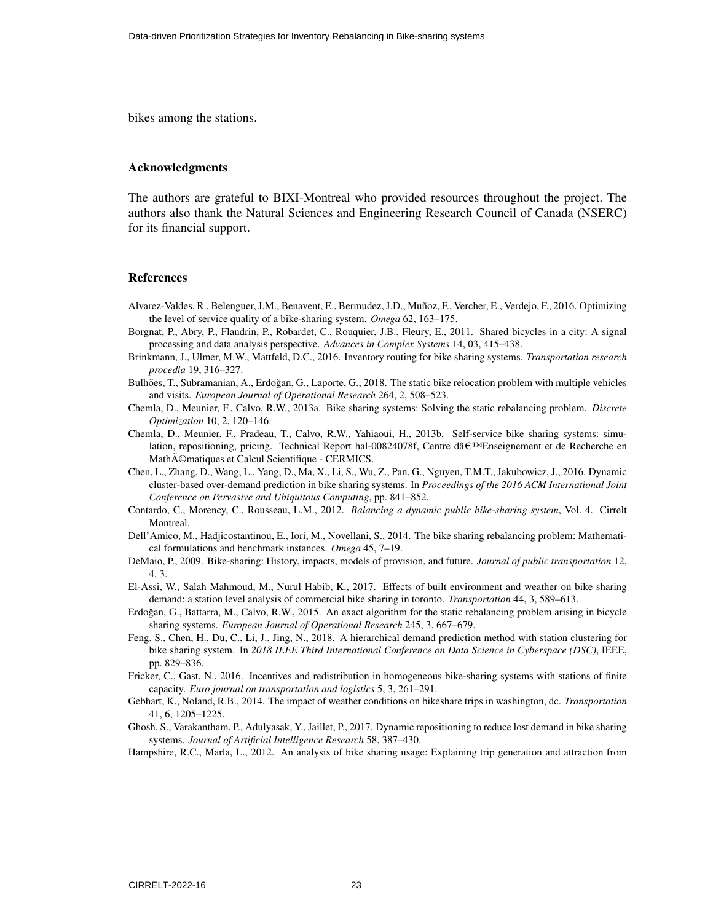bikes among the stations.

#### Acknowledgments

The authors are grateful to BIXI-Montreal who provided resources throughout the project. The authors also thank the Natural Sciences and Engineering Research Council of Canada (NSERC) for its financial support.

#### References

- Alvarez-Valdes, R., Belenguer, J.M., Benavent, E., Bermudez, J.D., Muñoz, F., Vercher, E., Verdejo, F., 2016. Optimizing the level of service quality of a bike-sharing system. *Omega* 62, 163–175.
- Borgnat, P., Abry, P., Flandrin, P., Robardet, C., Rouquier, J.B., Fleury, E., 2011. Shared bicycles in a city: A signal processing and data analysis perspective. *Advances in Complex Systems* 14, 03, 415–438.
- Brinkmann, J., Ulmer, M.W., Mattfeld, D.C., 2016. Inventory routing for bike sharing systems. *Transportation research procedia* 19, 316–327.
- Bulhões, T., Subramanian, A., Erdoğan, G., Laporte, G., 2018. The static bike relocation problem with multiple vehicles and visits. *European Journal of Operational Research* 264, 2, 508–523.
- Chemla, D., Meunier, F., Calvo, R.W., 2013a. Bike sharing systems: Solving the static rebalancing problem. *Discrete Optimization* 10, 2, 120–146.
- Chemla, D., Meunier, F., Pradeau, T., Calvo, R.W., Yahiaoui, H., 2013b. Self-service bike sharing systems: simulation, repositioning, pricing. Technical Report hal-00824078f, Centre daˆC™Enseignement et de Recherche en Math $\tilde{A}$ ©matiques et Calcul Scientifique - CERMICS.
- Chen, L., Zhang, D., Wang, L., Yang, D., Ma, X., Li, S., Wu, Z., Pan, G., Nguyen, T.M.T., Jakubowicz, J., 2016. Dynamic cluster-based over-demand prediction in bike sharing systems. In *Proceedings of the 2016 ACM International Joint Conference on Pervasive and Ubiquitous Computing*, pp. 841–852.
- Contardo, C., Morency, C., Rousseau, L.M., 2012. *Balancing a dynamic public bike-sharing system*, Vol. 4. Cirrelt Montreal.
- Dell'Amico, M., Hadjicostantinou, E., Iori, M., Novellani, S., 2014. The bike sharing rebalancing problem: Mathematical formulations and benchmark instances. *Omega* 45, 7–19.
- DeMaio, P., 2009. Bike-sharing: History, impacts, models of provision, and future. *Journal of public transportation* 12, 4, 3.
- El-Assi, W., Salah Mahmoud, M., Nurul Habib, K., 2017. Effects of built environment and weather on bike sharing demand: a station level analysis of commercial bike sharing in toronto. *Transportation* 44, 3, 589–613.
- Erdogan, G., Battarra, M., Calvo, R.W., 2015. An exact algorithm for the static rebalancing problem arising in bicycle ˘ sharing systems. *European Journal of Operational Research* 245, 3, 667–679.
- Feng, S., Chen, H., Du, C., Li, J., Jing, N., 2018. A hierarchical demand prediction method with station clustering for bike sharing system. In *2018 IEEE Third International Conference on Data Science in Cyberspace (DSC)*, IEEE, pp. 829–836.
- Fricker, C., Gast, N., 2016. Incentives and redistribution in homogeneous bike-sharing systems with stations of finite capacity. *Euro journal on transportation and logistics* 5, 3, 261–291.
- Gebhart, K., Noland, R.B., 2014. The impact of weather conditions on bikeshare trips in washington, dc. *Transportation* 41, 6, 1205–1225.
- Ghosh, S., Varakantham, P., Adulyasak, Y., Jaillet, P., 2017. Dynamic repositioning to reduce lost demand in bike sharing systems. *Journal of Artificial Intelligence Research* 58, 387–430.
- Hampshire, R.C., Marla, L., 2012. An analysis of bike sharing usage: Explaining trip generation and attraction from